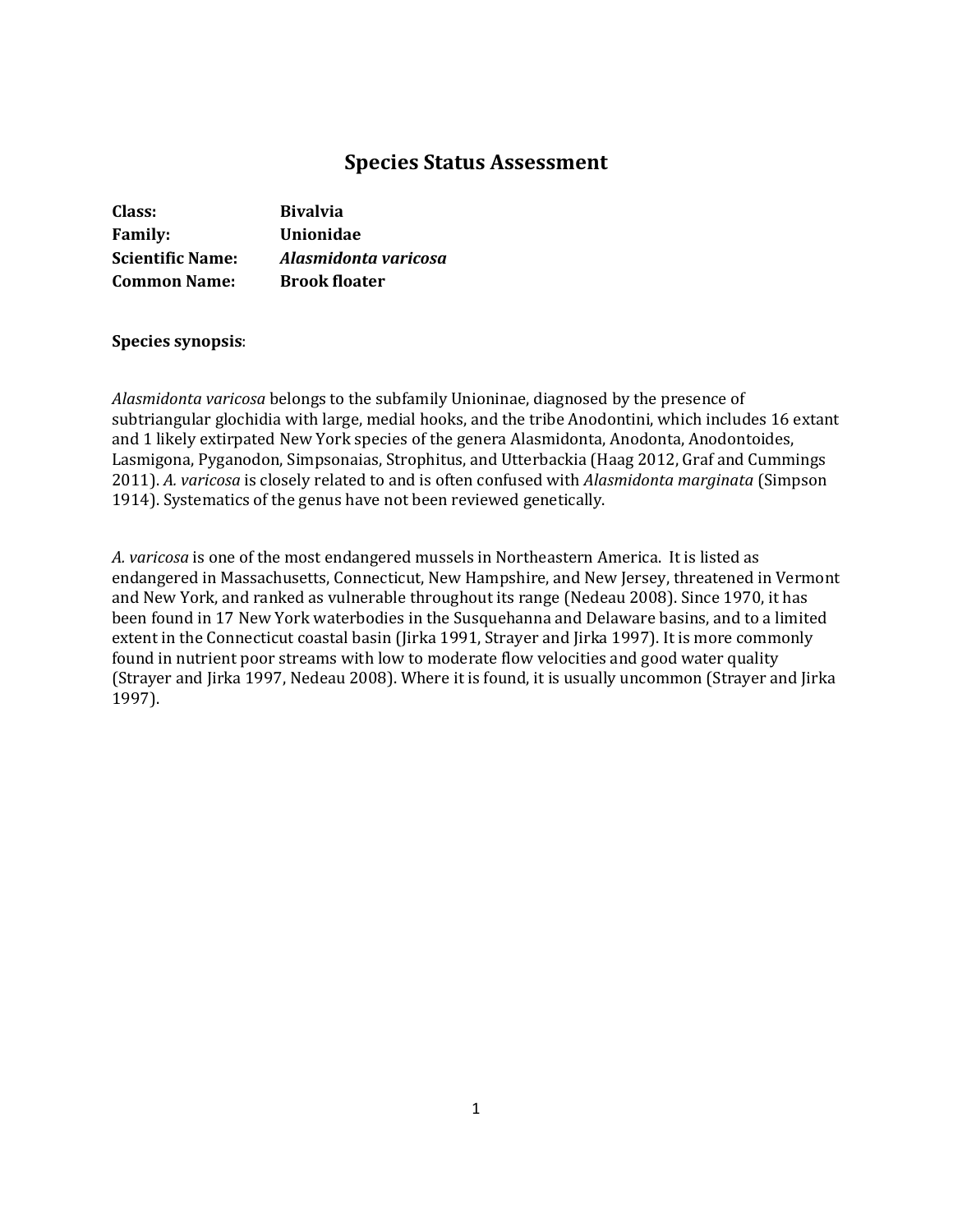# **Species Status Assessment**

| Class:                  | <b>Bivalvia</b>      |
|-------------------------|----------------------|
| <b>Family:</b>          | Unionidae            |
| <b>Scientific Name:</b> | Alasmidonta varicosa |
| <b>Common Name:</b>     | <b>Brook floater</b> |

## **Species synopsis**:

*Alasmidonta varicosa* belongs to the subfamily Unioninae, diagnosed by the presence of subtriangular glochidia with large, medial hooks, and the tribe Anodontini, which includes 16 extant and 1 likely extirpated New York species of the genera Alasmidonta, Anodonta, Anodontoides, Lasmigona, Pyganodon, Simpsonaias, Strophitus, and Utterbackia (Haag 2012, Graf and Cummings 2011). *A. varicosa* is closely related to and is often confused with *Alasmidonta marginata* (Simpson 1914). Systematics of the genus have not been reviewed genetically.

*A. varicosa* is one of the most endangered mussels in Northeastern America. It is listed as endangered in Massachusetts, Connecticut, New Hampshire, and New Jersey, threatened in Vermont and New York, and ranked as vulnerable throughout its range (Nedeau 2008). Since 1970, it has been found in 17 New York waterbodies in the Susquehanna and Delaware basins, and to a limited extent in the Connecticut coastal basin (Jirka 1991, Strayer and Jirka 1997). It is more commonly found in nutrient poor streams with low to moderate flow velocities and good water quality (Strayer and Jirka 1997, Nedeau 2008). Where it is found, it is usually uncommon (Strayer and Jirka 1997).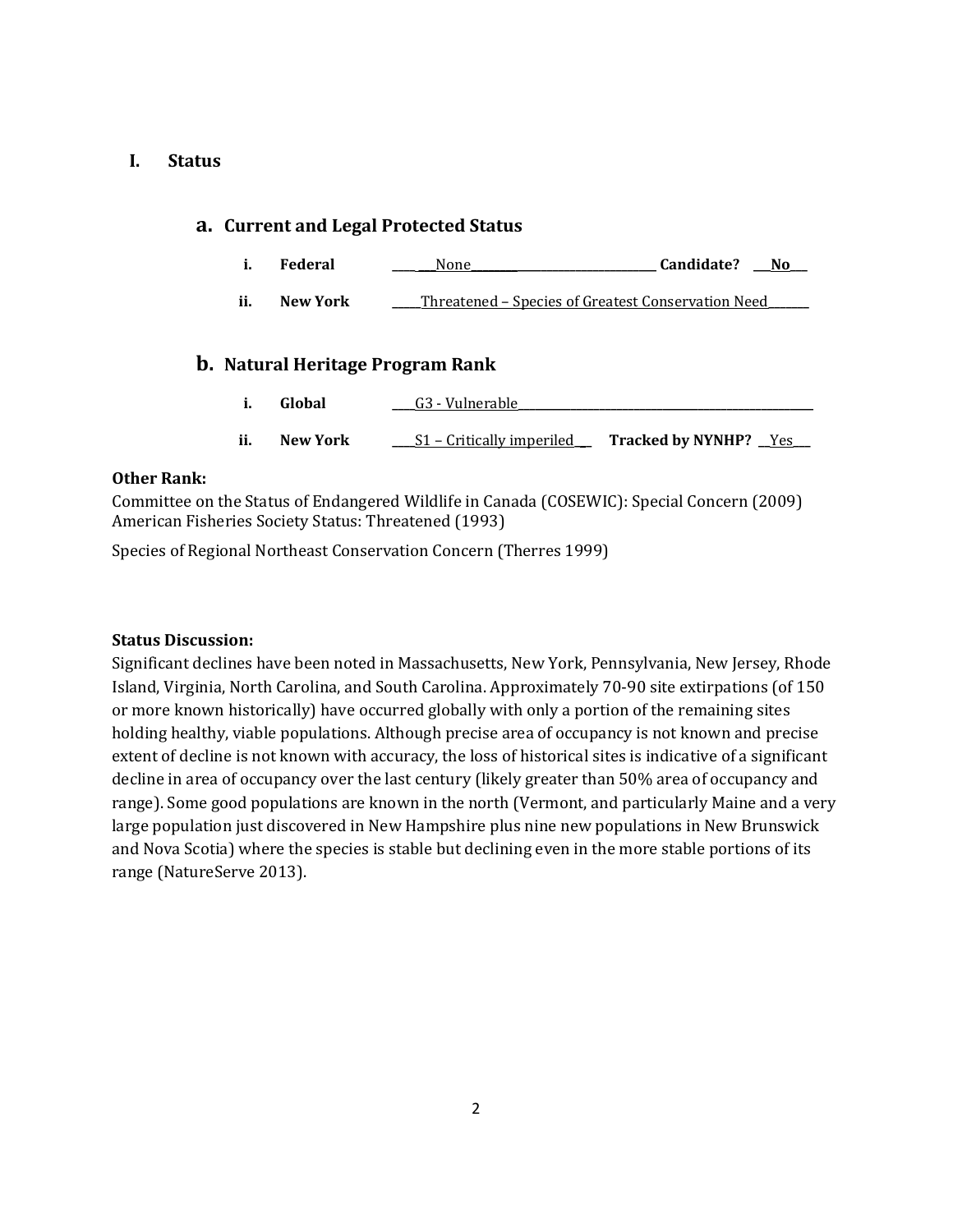### **I. Status**

### **a. Current and Legal Protected Status**

| л. | Federal |  | Candidate? | No |
|----|---------|--|------------|----|
|----|---------|--|------------|----|

**ii. New York \_\_\_\_\_**Threatened – Species of Greatest Conservation Need**\_\_\_\_\_\_\_**

#### **b. Natural Heritage Program Rank**

|     | Global   | G <sub>3</sub> - Vulnerable |                          |
|-----|----------|-----------------------------|--------------------------|
|     |          |                             |                          |
| ii. | New York | S1 – Critically imperiled   | <b>Tracked by NYNHP?</b> |

### **Other Rank:**

Committee on the Status of Endangered Wildlife in Canada (COSEWIC): Special Concern (2009) American Fisheries Society Status: Threatened (1993)

Species of Regional Northeast Conservation Concern (Therres 1999)

#### **Status Discussion:**

Significant declines have been noted in Massachusetts, New York, Pennsylvania, New Jersey, Rhode Island, Virginia, North Carolina, and South Carolina. Approximately 70-90 site extirpations (of 150 or more known historically) have occurred globally with only a portion of the remaining sites holding healthy, viable populations. Although precise area of occupancy is not known and precise extent of decline is not known with accuracy, the loss of historical sites is indicative of a significant decline in area of occupancy over the last century (likely greater than 50% area of occupancy and range). Some good populations are known in the north (Vermont, and particularly Maine and a very large population just discovered in New Hampshire plus nine new populations in New Brunswick and Nova Scotia) where the species is stable but declining even in the more stable portions of its range (NatureServe 2013).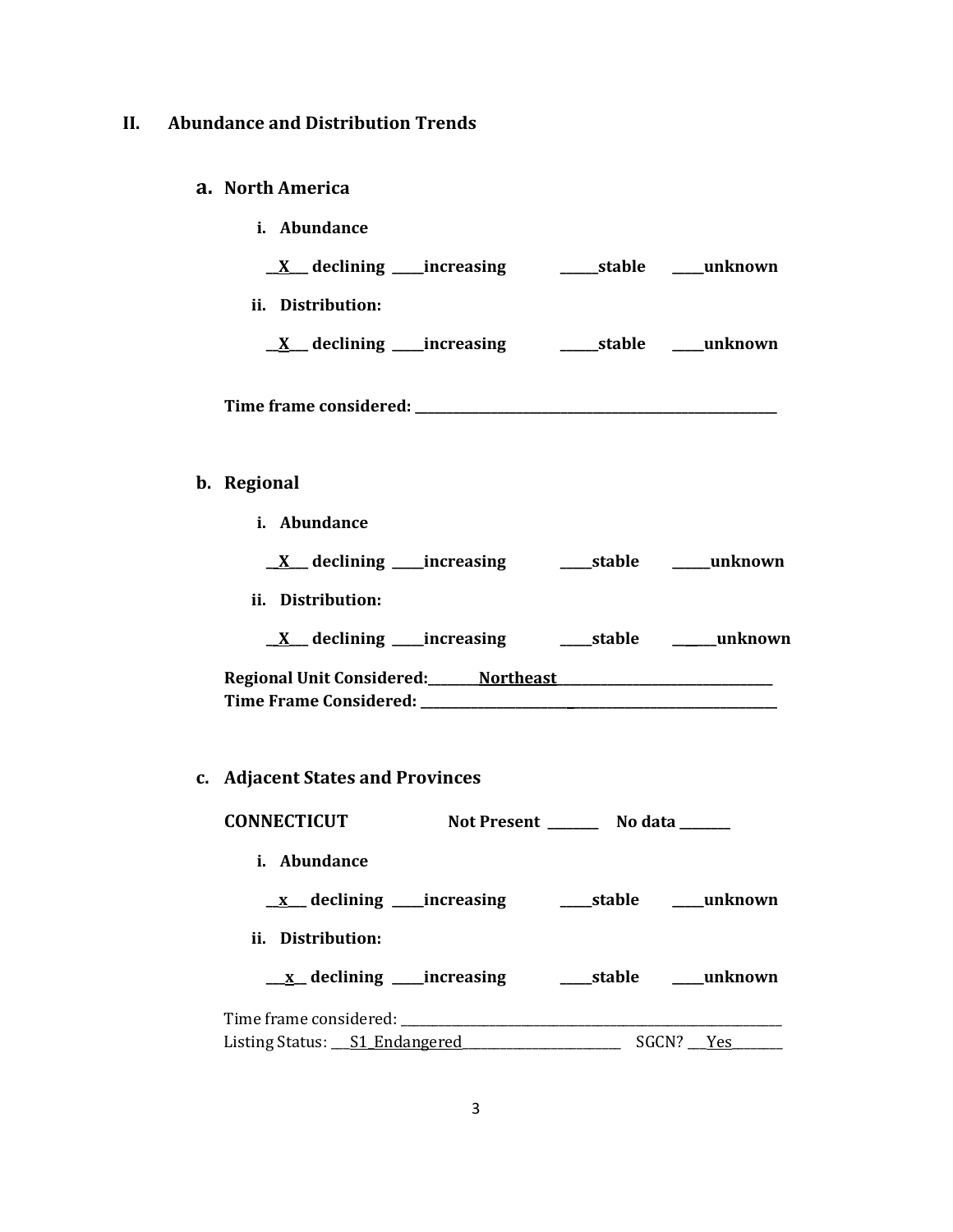# **II. Abundance and Distribution Trends**

# **a. North America**

| i. Abundance                                                                                                                                                                                                                   |
|--------------------------------------------------------------------------------------------------------------------------------------------------------------------------------------------------------------------------------|
|                                                                                                                                                                                                                                |
| ii. Distribution:                                                                                                                                                                                                              |
|                                                                                                                                                                                                                                |
|                                                                                                                                                                                                                                |
| b. Regional                                                                                                                                                                                                                    |
| i. Abundance                                                                                                                                                                                                                   |
|                                                                                                                                                                                                                                |
| ii. Distribution:                                                                                                                                                                                                              |
|                                                                                                                                                                                                                                |
|                                                                                                                                                                                                                                |
| c. Adjacent States and Provinces                                                                                                                                                                                               |
| CONNECTICUT Not Present ________ No data ______                                                                                                                                                                                |
| i. Abundance                                                                                                                                                                                                                   |
|                                                                                                                                                                                                                                |
| ii. Distribution:                                                                                                                                                                                                              |
|                                                                                                                                                                                                                                |
| Time frame considered: Time and the constant of the constant of the constant of the constant of the constant of the constant of the constant of the constant of the constant of the constant of the constant of the constant o |
|                                                                                                                                                                                                                                |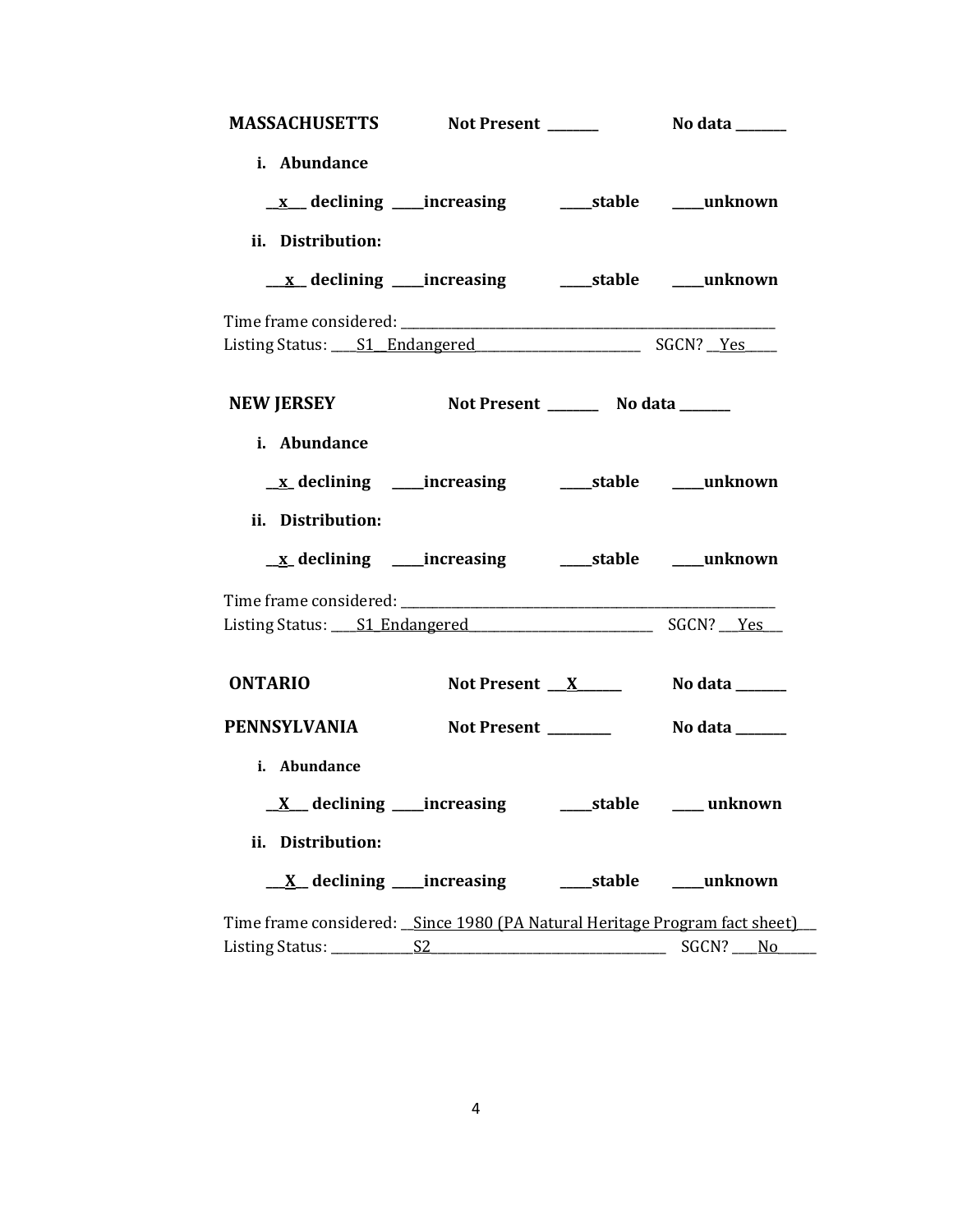| <b>MASSACHUSETTS</b>                                                       | Not Present ______ |                                        | <b>No data</b> _______ |
|----------------------------------------------------------------------------|--------------------|----------------------------------------|------------------------|
| i. Abundance                                                               |                    |                                        |                        |
|                                                                            |                    |                                        |                        |
| ii. Distribution:                                                          |                    |                                        |                        |
|                                                                            |                    |                                        |                        |
|                                                                            |                    |                                        |                        |
|                                                                            |                    |                                        |                        |
| <b>NEW JERSEY</b>                                                          |                    | Not Present __________ No data _______ |                        |
| i. Abundance                                                               |                    |                                        |                        |
| x declining ____increasing _______stable _____unknown                      |                    |                                        |                        |
| ii. Distribution:                                                          |                    |                                        |                        |
| <u>x</u> declining ____increasing _____stable ____unknown                  |                    |                                        |                        |
|                                                                            |                    |                                        |                        |
| Listing Status: S1 Endangered States Corp. 2014                            |                    |                                        |                        |
| <b>ONTARIO</b>                                                             | Not Present $X$    |                                        | No data _______        |
| PENNSYLVANIA                                                               |                    |                                        |                        |
| i. Abundance                                                               |                    |                                        |                        |
| X declining ____increasing                                                 |                    | ___stable                              | ____ unknown           |
| ii. Distribution:                                                          |                    |                                        |                        |
|                                                                            |                    |                                        | __unknown              |
| Time frame considered: Since 1980 (PA Natural Heritage Program fact sheet) |                    |                                        |                        |
|                                                                            |                    |                                        | SGCN?<br>No.           |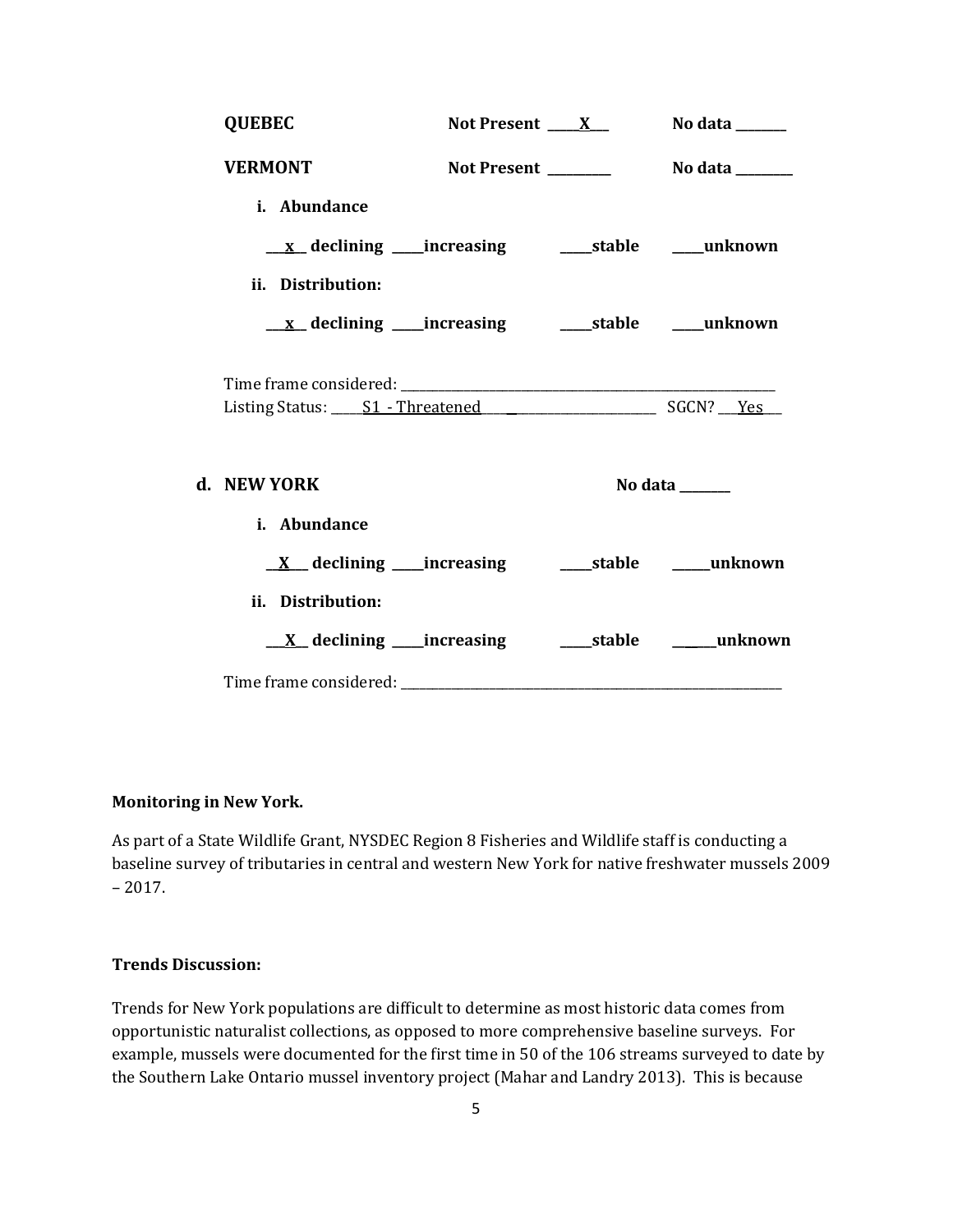| <b>QUEBEC</b>     | Not Present $X_{-}$ | No data $\_\_\_\_\_\_\_\_\_\_\_\_\$ |
|-------------------|---------------------|-------------------------------------|
| <b>VERMONT</b>    |                     |                                     |
| i. Abundance      |                     |                                     |
|                   |                     |                                     |
| ii. Distribution: |                     |                                     |
|                   |                     |                                     |
|                   |                     |                                     |
| d. NEW YORK       |                     | No data $\_\_$                      |
| i. Abundance      |                     |                                     |
|                   |                     |                                     |
| ii. Distribution: |                     |                                     |
|                   |                     |                                     |
|                   |                     |                                     |

## **Monitoring in New York.**

As part of a State Wildlife Grant, NYSDEC Region 8 Fisheries and Wildlife staff is conducting a baseline survey of tributaries in central and western New York for native freshwater mussels 2009  $-2017.$ 

### **Trends Discussion:**

Trends for New York populations are difficult to determine as most historic data comes from opportunistic naturalist collections, as opposed to more comprehensive baseline surveys. For example, mussels were documented for the first time in 50 of the 106 streams surveyed to date by the Southern Lake Ontario mussel inventory project (Mahar and Landry 2013). This is because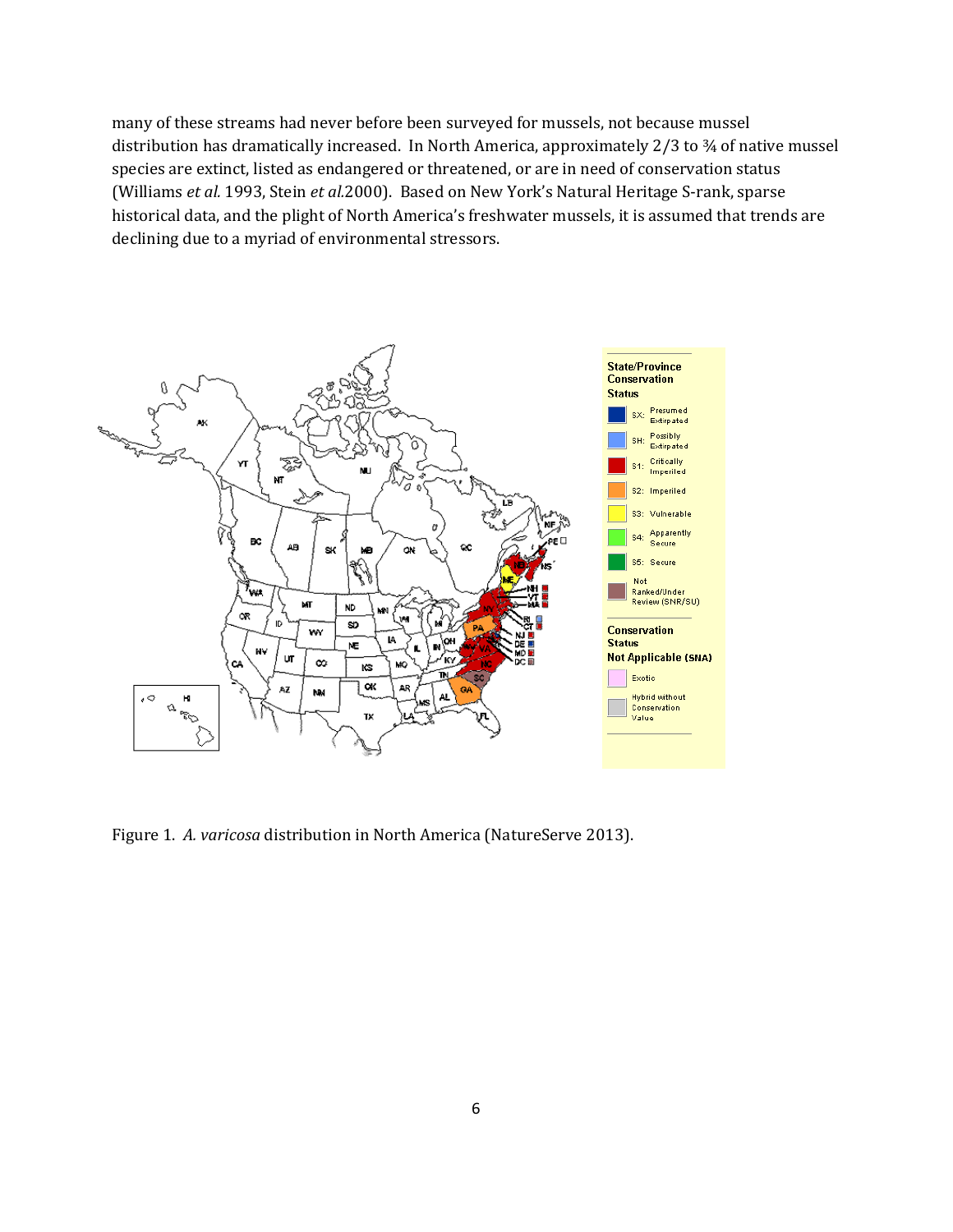many of these streams had never before been surveyed for mussels, not because mussel distribution has dramatically increased. In North America, approximately 2/3 to 34 of native mussel species are extinct, listed as endangered or threatened, or are in need of conservation status (Williams *et al.* 1993, Stein *et al.*2000). Based on New York's Natural Heritage S-rank, sparse historical data, and the plight of North America's freshwater mussels, it is assumed that trends are declining due to a myriad of environmental stressors.



Figure 1. *A. varicosa* distribution in North America (NatureServe 2013).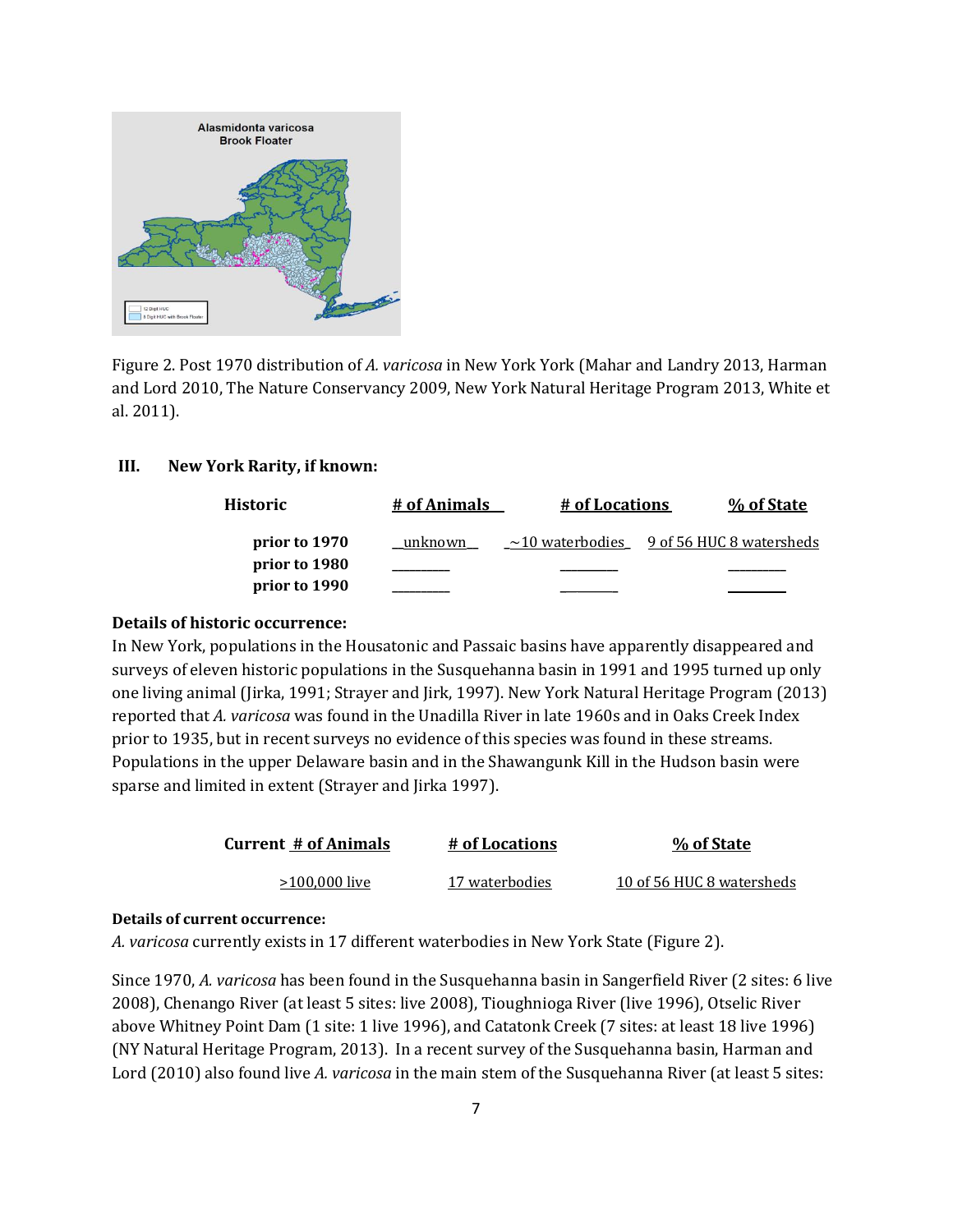

Figure 2. Post 1970 distribution of *A. varicosa* in New York York (Mahar and Landry 2013, Harman and Lord 2010, The Nature Conservancy 2009, New York Natural Heritage Program 2013, White et al. 2011).

## **III. New York Rarity, if known:**

| Historic      | # of Animals | # of Locations                                        | % of State |
|---------------|--------------|-------------------------------------------------------|------------|
| prior to 1970 | unknown      | $\sim$ 10 waterbodies $\sim$ 9 of 56 HUC 8 watersheds |            |
| prior to 1980 |              |                                                       |            |
| prior to 1990 |              |                                                       |            |

#### **Details of historic occurrence:**

In New York, populations in the Housatonic and Passaic basins have apparently disappeared and surveys of eleven historic populations in the Susquehanna basin in 1991 and 1995 turned up only one living animal (Jirka, 1991; Strayer and Jirk, 1997). New York Natural Heritage Program (2013) reported that *A. varicosa* was found in the Unadilla River in late 1960s and in Oaks Creek Index prior to 1935, but in recent surveys no evidence of this species was found in these streams. Populations in the upper Delaware basin and in the Shawangunk Kill in the Hudson basin were sparse and limited in extent (Strayer and Jirka 1997).

| <b>Current # of Animals</b> | # of Locations | % of State                |
|-----------------------------|----------------|---------------------------|
| $>100,000$ live             | 17 waterbodies | 10 of 56 HUC 8 watersheds |

#### **Details of current occurrence:**

*A. varicosa* currently exists in 17 different waterbodies in New York State (Figure 2).

Since 1970, *A. varicosa* has been found in the Susquehanna basin in Sangerfield River (2 sites: 6 live 2008), Chenango River (at least 5 sites: live 2008), Tioughnioga River (live 1996), Otselic River above Whitney Point Dam (1 site: 1 live 1996), and Catatonk Creek (7 sites: at least 18 live 1996) (NY Natural Heritage Program, 2013). In a recent survey of the Susquehanna basin, Harman and Lord (2010) also found live *A. varicosa* in the main stem of the Susquehanna River (at least 5 sites: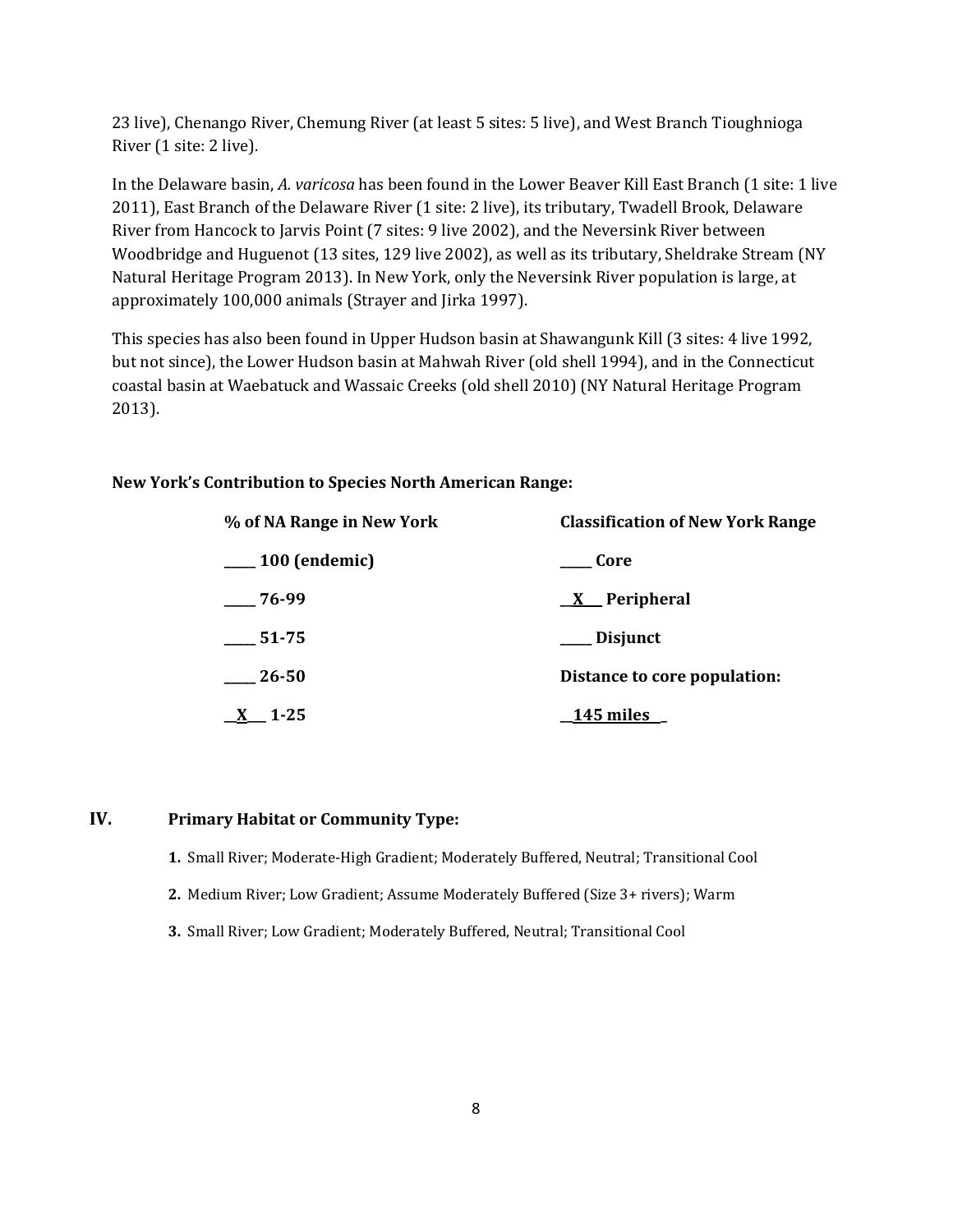23 live), Chenango River, Chemung River (at least 5 sites: 5 live), and West Branch Tioughnioga River (1 site: 2 live).

In the Delaware basin, *A. varicosa* has been found in the Lower Beaver Kill East Branch (1 site: 1 live 2011), East Branch of the Delaware River (1 site: 2 live), its tributary, Twadell Brook, Delaware River from Hancock to Jarvis Point (7 sites: 9 live 2002), and the Neversink River between Woodbridge and Huguenot (13 sites, 129 live 2002), as well as its tributary, Sheldrake Stream (NY Natural Heritage Program 2013). In New York, only the Neversink River population is large, at approximately 100,000 animals (Strayer and Jirka 1997).

This species has also been found in Upper Hudson basin at Shawangunk Kill (3 sites: 4 live 1992, but not since), the Lower Hudson basin at Mahwah River (old shell 1994), and in the Connecticut coastal basin at Waebatuck and Wassaic Creeks (old shell 2010) (NY Natural Heritage Program 2013).

# **New York's Contribution to Species North American Range:**

| % of NA Range in New York | <b>Classification of New York Range</b> |  |
|---------------------------|-----------------------------------------|--|
| $\frac{100}{2}$ (endemic) | Core                                    |  |
| $-76-99$                  | $X$ Peripheral                          |  |
| $51-75$                   | ___ Disjunct                            |  |
| 26-50                     | Distance to core population:            |  |
| $X$ 1.25                  | 145 miles                               |  |

## **IV. Primary Habitat or Community Type:**

- **1.** Small River; Moderate-High Gradient; Moderately Buffered, Neutral; Transitional Cool
- **2.** Medium River; Low Gradient; Assume Moderately Buffered (Size 3+ rivers); Warm
- **3.** Small River; Low Gradient; Moderately Buffered, Neutral; Transitional Cool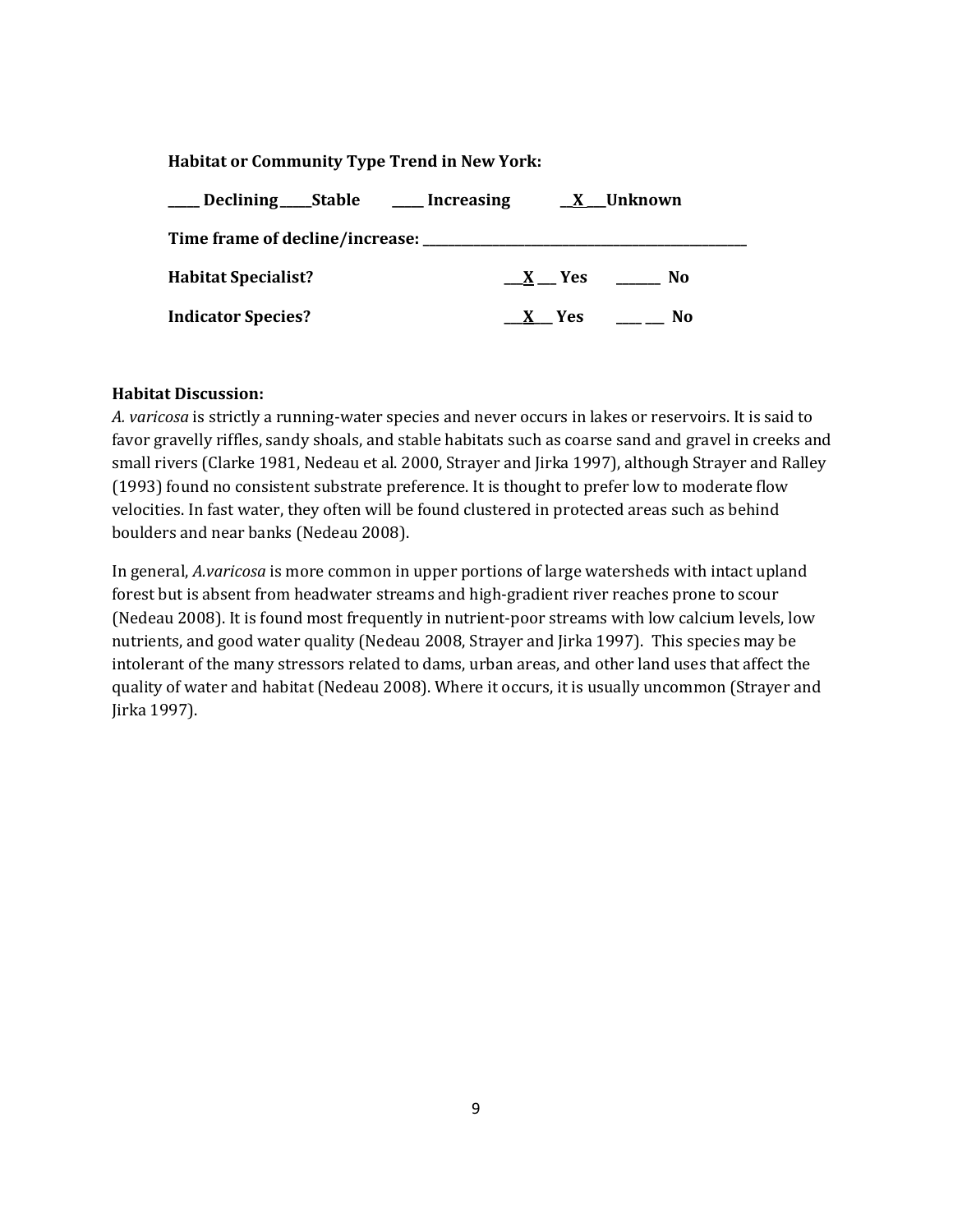| <b>Habitat or Community Type Trend in New York:</b>                               |              |  |  |  |
|-----------------------------------------------------------------------------------|--------------|--|--|--|
| <b>____</b> Declining _____ Stable ______ Increasing _____ <u>_ X</u> ___ Unknown |              |  |  |  |
|                                                                                   |              |  |  |  |
| <b>Habitat Specialist?</b>                                                        | $X = Yes$ No |  |  |  |
| <b>Indicator Species?</b>                                                         |              |  |  |  |

# **Habitat Discussion:**

*A. varicosa* is strictly a running-water species and never occurs in lakes or reservoirs. It is said to favor gravelly riffles, sandy shoals, and stable habitats such as coarse sand and gravel in creeks and small rivers (Clarke 1981, Nedeau et al. 2000, Strayer and Jirka 1997), although Strayer and Ralley (1993) found no consistent substrate preference. It is thought to prefer low to moderate flow velocities. In fast water, they often will be found clustered in protected areas such as behind boulders and near banks (Nedeau 2008).

In general, *A.varicosa* is more common in upper portions of large watersheds with intact upland forest but is absent from headwater streams and high-gradient river reaches prone to scour (Nedeau 2008). It is found most frequently in nutrient-poor streams with low calcium levels, low nutrients, and good water quality (Nedeau 2008, Strayer and Jirka 1997). This species may be intolerant of the many stressors related to dams, urban areas, and other land uses that affect the quality of water and habitat (Nedeau 2008). Where it occurs, it is usually uncommon (Strayer and Jirka 1997).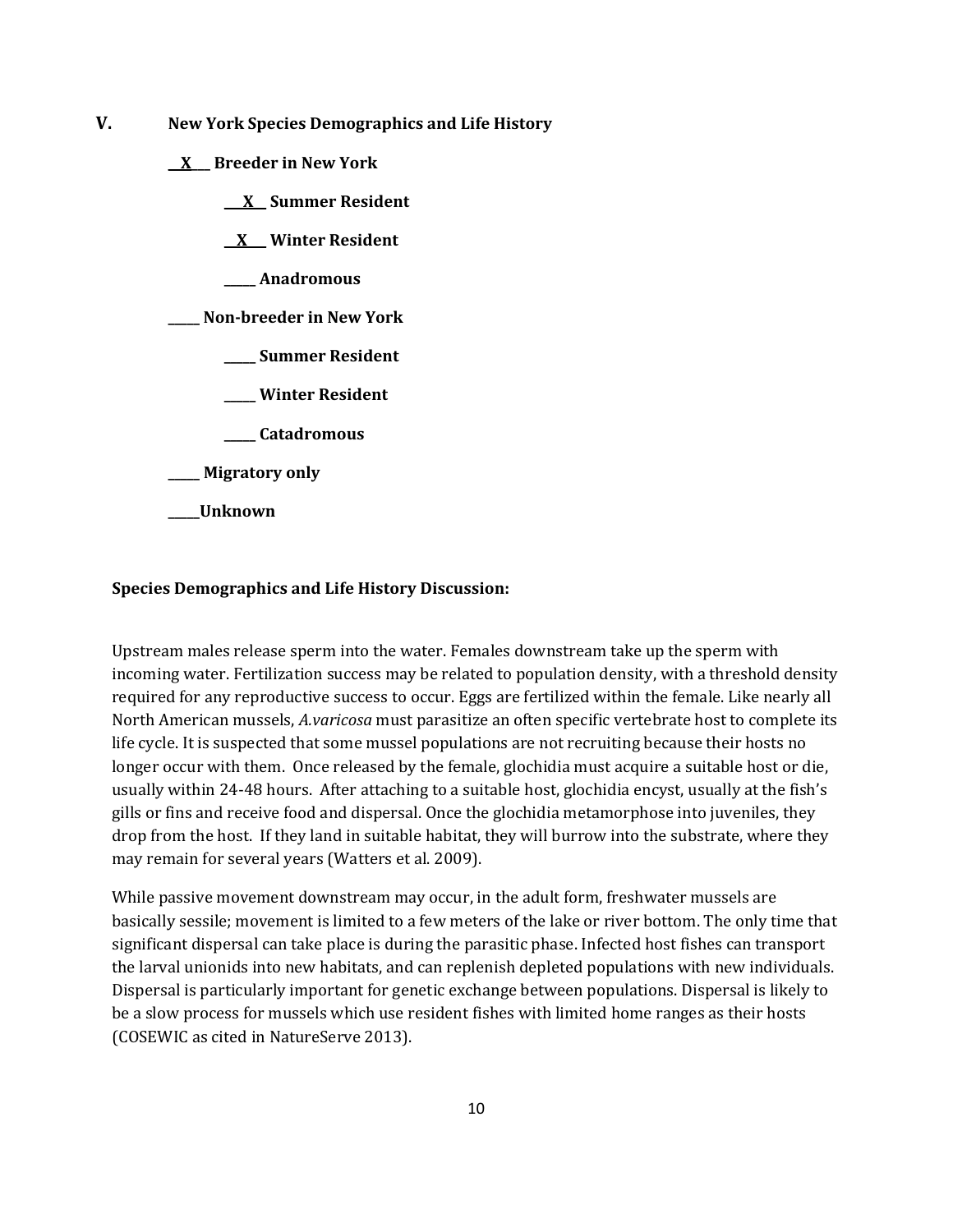- **V. New York Species Demographics and Life History**
	- **\_\_X\_\_\_ Breeder in New York**
		- **\_\_\_X\_\_ Summer Resident**

**\_\_X\_\_\_ Winter Resident**

**\_\_\_\_\_ Anadromous**

**\_\_\_\_\_ Non-breeder in New York**

- **\_\_\_\_\_ Summer Resident**
- **\_\_\_\_\_ Winter Resident**
- **\_\_\_\_\_ Catadromous**
- **\_\_\_\_\_ Migratory only**
- **\_\_\_\_\_Unknown**

### **Species Demographics and Life History Discussion:**

Upstream males release sperm into the water. Females downstream take up the sperm with incoming water. Fertilization success may be related to population density, with a threshold density required for any reproductive success to occur. Eggs are fertilized within the female. Like nearly all North American mussels, *A.varicosa* must parasitize an often specific vertebrate host to complete its life cycle. It is suspected that some mussel populations are not recruiting because their hosts no longer occur with them. Once released by the female, glochidia must acquire a suitable host or die, usually within 24-48 hours. After attaching to a suitable host, glochidia encyst, usually at the fish's gills or fins and receive food and dispersal. Once the glochidia metamorphose into juveniles, they drop from the host. If they land in suitable habitat, they will burrow into the substrate, where they may remain for several years (Watters et al. 2009).

While passive movement downstream may occur, in the adult form, freshwater mussels are basically sessile; movement is limited to a few meters of the lake or river bottom. The only time that significant dispersal can take place is during the parasitic phase. Infected host fishes can transport the larval unionids into new habitats, and can replenish depleted populations with new individuals. Dispersal is particularly important for genetic exchange between populations. Dispersal is likely to be a slow process for mussels which use resident fishes with limited home ranges as their hosts (COSEWIC as cited in NatureServe 2013).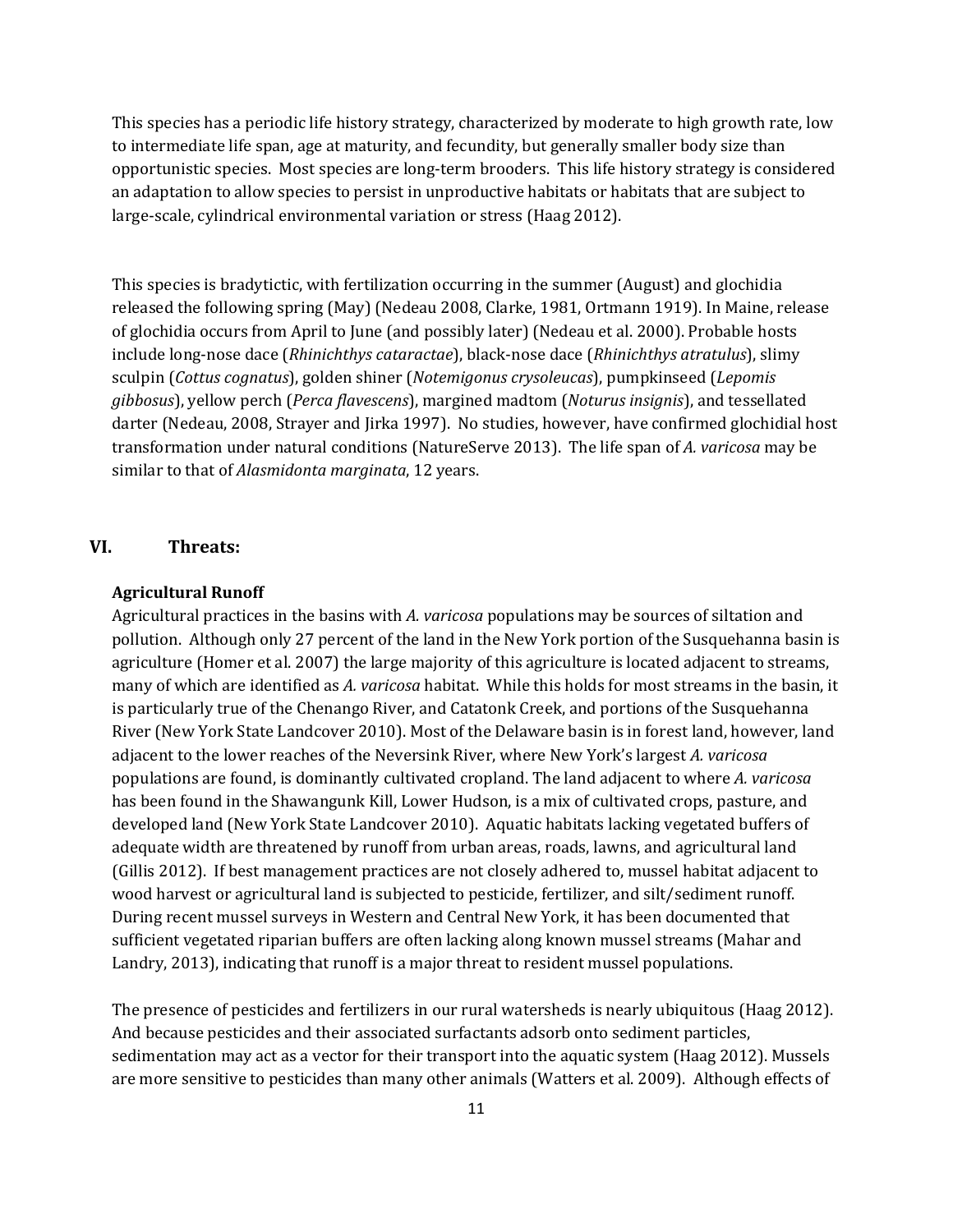This species has a periodic life history strategy, characterized by moderate to high growth rate, low to intermediate life span, age at maturity, and fecundity, but generally smaller body size than opportunistic species. Most species are long-term brooders. This life history strategy is considered an adaptation to allow species to persist in unproductive habitats or habitats that are subject to large-scale, cylindrical environmental variation or stress (Haag 2012).

This species is bradytictic, with fertilization occurring in the summer (August) and glochidia released the following spring (May) (Nedeau 2008, Clarke, 1981, Ortmann 1919). In Maine, release of glochidia occurs from April to June (and possibly later) (Nedeau et al. 2000). Probable hosts include long-nose dace (*Rhinichthys cataractae*), black-nose dace (*Rhinichthys atratulus*), slimy sculpin (*Cottus cognatus*), golden shiner (*Notemigonus crysoleucas*), pumpkinseed (*Lepomis gibbosus*), yellow perch (*Perca flavescens*), margined madtom (*Noturus insignis*), and tessellated darter (Nedeau, 2008, Strayer and Jirka 1997). No studies, however, have confirmed glochidial host transformation under natural conditions (NatureServe 2013). The life span of *A. varicosa* may be similar to that of *Alasmidonta marginata*, 12 years.

### **VI. Threats:**

#### **Agricultural Runoff**

Agricultural practices in the basins with *A. varicosa* populations may be sources of siltation and pollution. Although only 27 percent of the land in the New York portion of the Susquehanna basin is agriculture (Homer et al. 2007) the large majority of this agriculture is located adjacent to streams, many of which are identified as *A. varicosa* habitat. While this holds for most streams in the basin, it is particularly true of the Chenango River, and Catatonk Creek, and portions of the Susquehanna River (New York State Landcover 2010). Most of the Delaware basin is in forest land, however, land adjacent to the lower reaches of the Neversink River, where New York's largest *A. varicosa* populations are found, is dominantly cultivated cropland. The land adjacent to where *A. varicosa* has been found in the Shawangunk Kill, Lower Hudson, is a mix of cultivated crops, pasture, and developed land (New York State Landcover 2010). Aquatic habitats lacking vegetated buffers of adequate width are threatened by runoff from urban areas, roads, lawns, and agricultural land (Gillis 2012). If best management practices are not closely adhered to, mussel habitat adjacent to wood harvest or agricultural land is subjected to pesticide, fertilizer, and silt/sediment runoff. During recent mussel surveys in Western and Central New York, it has been documented that sufficient vegetated riparian buffers are often lacking along known mussel streams (Mahar and Landry, 2013), indicating that runoff is a major threat to resident mussel populations.

The presence of pesticides and fertilizers in our rural watersheds is nearly ubiquitous (Haag 2012). And because pesticides and their associated surfactants adsorb onto sediment particles, sedimentation may act as a vector for their transport into the aquatic system (Haag 2012). Mussels are more sensitive to pesticides than many other animals (Watters et al. 2009). Although effects of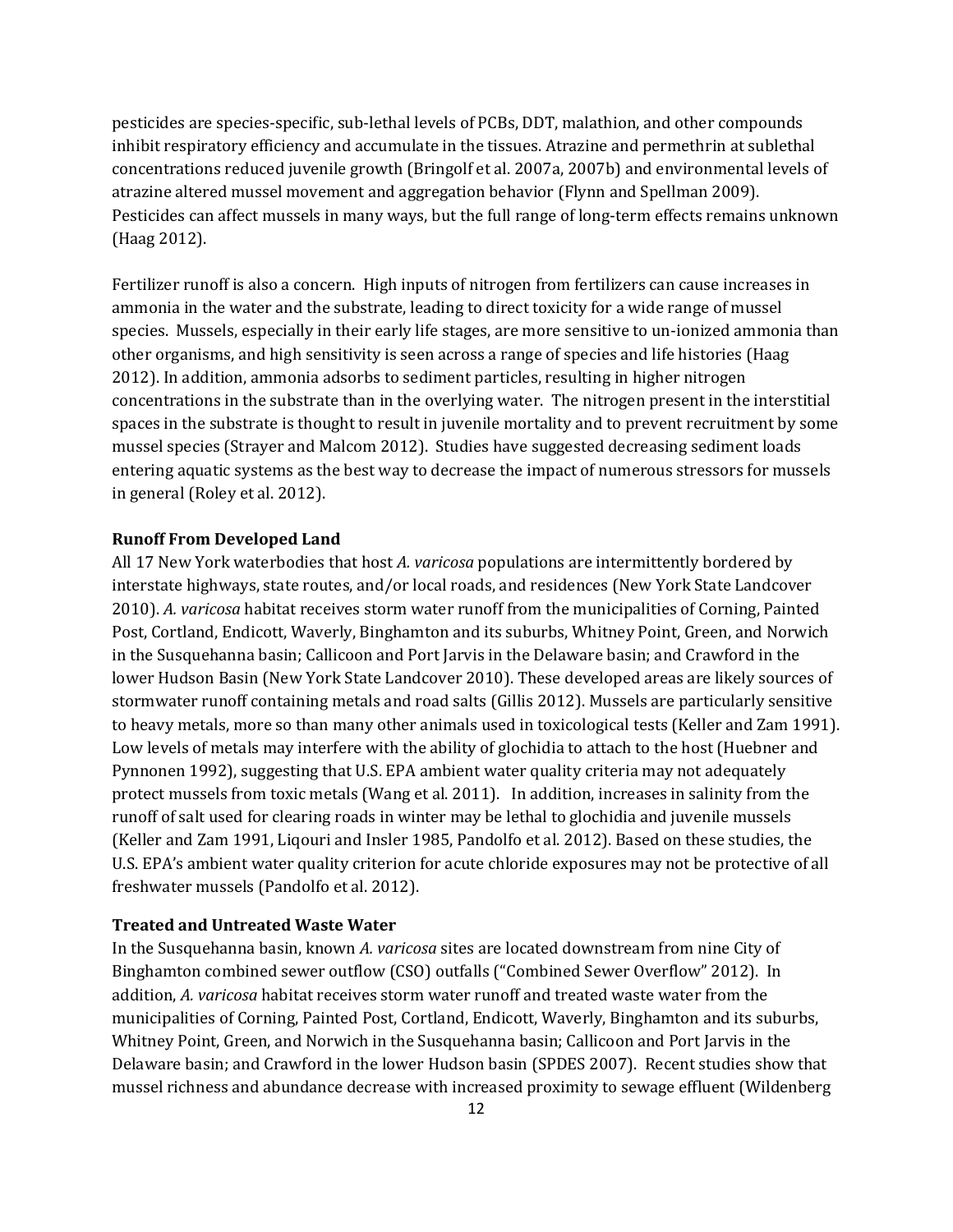pesticides are species-specific, sub-lethal levels of PCBs, DDT, malathion, and other compounds inhibit respiratory efficiency and accumulate in the tissues. Atrazine and permethrin at sublethal concentrations reduced juvenile growth (Bringolf et al. 2007a, 2007b) and environmental levels of atrazine altered mussel movement and aggregation behavior (Flynn and Spellman 2009). Pesticides can affect mussels in many ways, but the full range of long-term effects remains unknown (Haag 2012).

Fertilizer runoff is also a concern. High inputs of nitrogen from fertilizers can cause increases in ammonia in the water and the substrate, leading to direct toxicity for a wide range of mussel species. Mussels, especially in their early life stages, are more sensitive to un-ionized ammonia than other organisms, and high sensitivity is seen across a range of species and life histories (Haag 2012). In addition, ammonia adsorbs to sediment particles, resulting in higher nitrogen concentrations in the substrate than in the overlying water. The nitrogen present in the interstitial spaces in the substrate is thought to result in juvenile mortality and to prevent recruitment by some mussel species (Strayer and Malcom 2012). Studies have suggested decreasing sediment loads entering aquatic systems as the best way to decrease the impact of numerous stressors for mussels in general (Roley et al. 2012).

#### **Runoff From Developed Land**

All 17 New York waterbodies that host *A. varicosa* populations are intermittently bordered by interstate highways, state routes, and/or local roads, and residences (New York State Landcover 2010). *A. varicosa* habitat receives storm water runoff from the municipalities of Corning, Painted Post, Cortland, Endicott, Waverly, Binghamton and its suburbs, Whitney Point, Green, and Norwich in the Susquehanna basin; Callicoon and Port Jarvis in the Delaware basin; and Crawford in the lower Hudson Basin (New York State Landcover 2010). These developed areas are likely sources of stormwater runoff containing metals and road salts (Gillis 2012). Mussels are particularly sensitive to heavy metals, more so than many other animals used in toxicological tests (Keller and Zam 1991). Low levels of metals may interfere with the ability of glochidia to attach to the host (Huebner and Pynnonen 1992), suggesting that U.S. EPA ambient water quality criteria may not adequately protect mussels from toxic metals (Wang et al. 2011). In addition, increases in salinity from the runoff of salt used for clearing roads in winter may be lethal to glochidia and juvenile mussels (Keller and Zam 1991, Liqouri and Insler 1985, Pandolfo et al. 2012). Based on these studies, the U.S. EPA's ambient water quality criterion for acute chloride exposures may not be protective of all freshwater mussels (Pandolfo et al. 2012).

### **Treated and Untreated Waste Water**

In the Susquehanna basin, known *A. varicosa* sites are located downstream from nine City of Binghamton combined sewer outflow (CSO) outfalls ("Combined Sewer Overflow" 2012). In addition, *A. varicosa* habitat receives storm water runoff and treated waste water from the municipalities of Corning, Painted Post, Cortland, Endicott, Waverly, Binghamton and its suburbs, Whitney Point, Green, and Norwich in the Susquehanna basin; Callicoon and Port Jarvis in the Delaware basin; and Crawford in the lower Hudson basin (SPDES 2007). Recent studies show that mussel richness and abundance decrease with increased proximity to sewage effluent (Wildenberg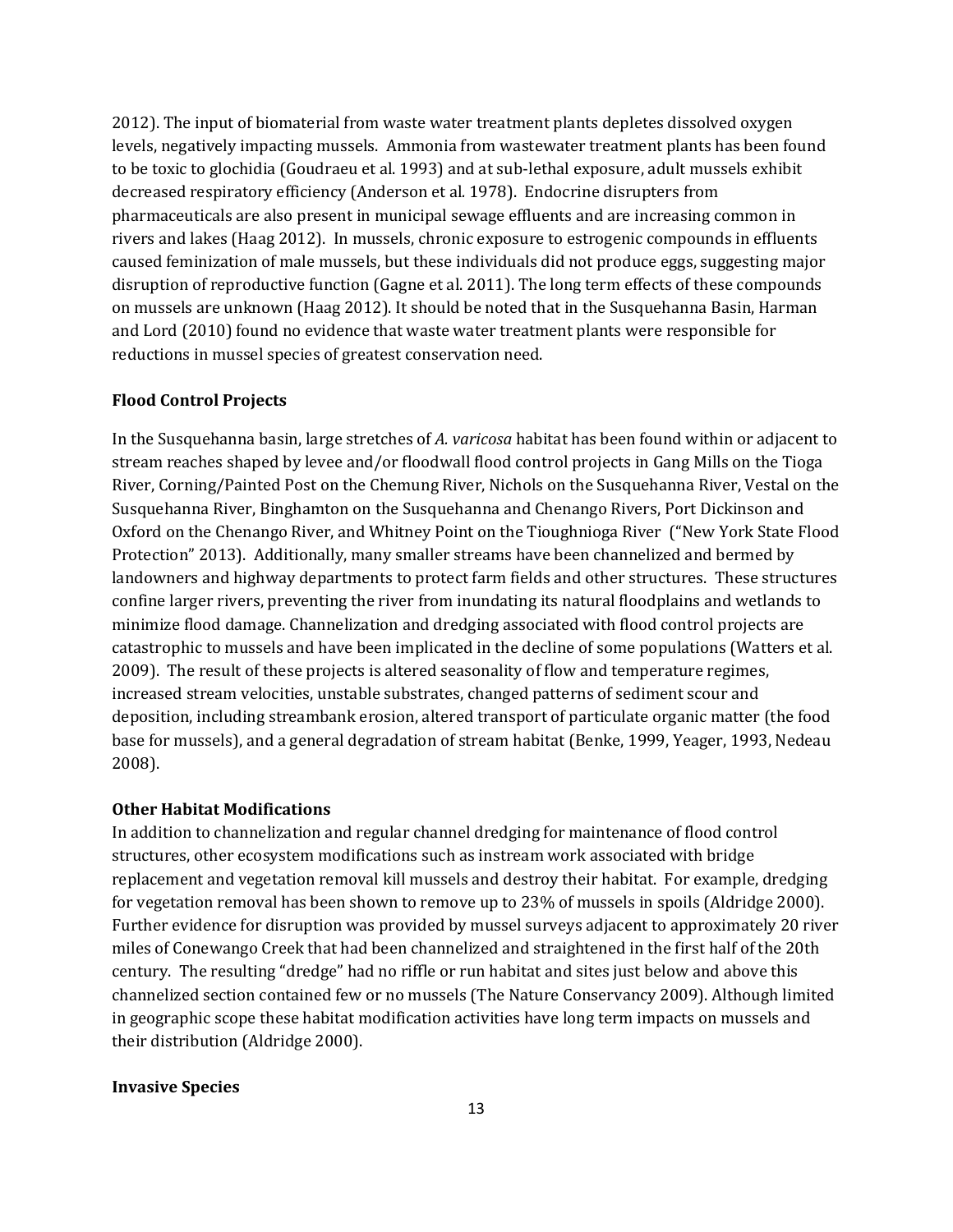2012). The input of biomaterial from waste water treatment plants depletes dissolved oxygen levels, negatively impacting mussels. Ammonia from wastewater treatment plants has been found to be toxic to glochidia (Goudraeu et al. 1993) and at sub-lethal exposure, adult mussels exhibit decreased respiratory efficiency (Anderson et al*.* 1978). Endocrine disrupters from pharmaceuticals are also present in municipal sewage effluents and are increasing common in rivers and lakes (Haag 2012). In mussels, chronic exposure to estrogenic compounds in effluents caused feminization of male mussels, but these individuals did not produce eggs, suggesting major disruption of reproductive function (Gagne et al. 2011). The long term effects of these compounds on mussels are unknown (Haag 2012). It should be noted that in the Susquehanna Basin, Harman and Lord (2010) found no evidence that waste water treatment plants were responsible for reductions in mussel species of greatest conservation need.

#### **Flood Control Projects**

In the Susquehanna basin, large stretches of *A. varicosa* habitat has been found within or adjacent to stream reaches shaped by levee and/or floodwall flood control projects in Gang Mills on the Tioga River, Corning/Painted Post on the Chemung River, Nichols on the Susquehanna River, Vestal on the Susquehanna River, Binghamton on the Susquehanna and Chenango Rivers, Port Dickinson and Oxford on the Chenango River, and Whitney Point on the Tioughnioga River ("New York State Flood Protection" 2013). Additionally, many smaller streams have been channelized and bermed by landowners and highway departments to protect farm fields and other structures. These structures confine larger rivers, preventing the river from inundating its natural floodplains and wetlands to minimize flood damage. Channelization and dredging associated with flood control projects are catastrophic to mussels and have been implicated in the decline of some populations (Watters et al. 2009). The result of these projects is altered seasonality of flow and temperature regimes, increased stream velocities, unstable substrates, changed patterns of sediment scour and deposition, including streambank erosion, altered transport of particulate organic matter (the food base for mussels), and a general degradation of stream habitat (Benke, 1999, Yeager, 1993, Nedeau 2008).

#### **Other Habitat Modifications**

In addition to channelization and regular channel dredging for maintenance of flood control structures, other ecosystem modifications such as instream work associated with bridge replacement and vegetation removal kill mussels and destroy their habitat. For example, dredging for vegetation removal has been shown to remove up to 23% of mussels in spoils (Aldridge 2000). Further evidence for disruption was provided by mussel surveys adjacent to approximately 20 river miles of Conewango Creek that had been channelized and straightened in the first half of the 20th century. The resulting "dredge" had no riffle or run habitat and sites just below and above this channelized section contained few or no mussels (The Nature Conservancy 2009). Although limited in geographic scope these habitat modification activities have long term impacts on mussels and their distribution (Aldridge 2000).

#### **Invasive Species**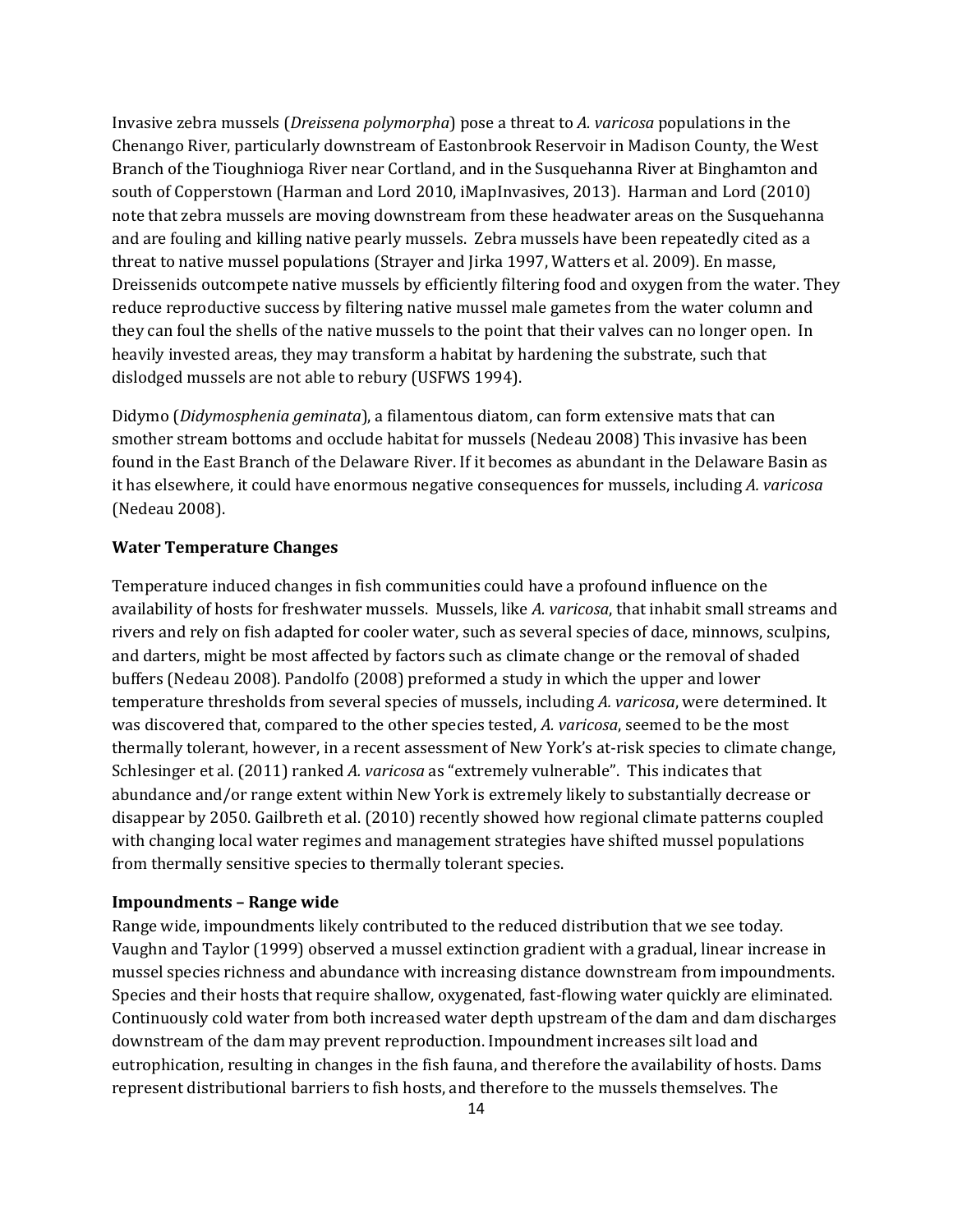Invasive zebra mussels (*Dreissena polymorpha*) pose a threat to *A. varicosa* populations in the Chenango River, particularly downstream of Eastonbrook Reservoir in Madison County, the West Branch of the Tioughnioga River near Cortland, and in the Susquehanna River at Binghamton and south of Copperstown (Harman and Lord 2010, iMapInvasives, 2013). Harman and Lord (2010) note that zebra mussels are moving downstream from these headwater areas on the Susquehanna and are fouling and killing native pearly mussels. Zebra mussels have been repeatedly cited as a threat to native mussel populations (Strayer and Jirka 1997, Watters et al. 2009). En masse, Dreissenids outcompete native mussels by efficiently filtering food and oxygen from the water. They reduce reproductive success by filtering native mussel male gametes from the water column and they can foul the shells of the native mussels to the point that their valves can no longer open. In heavily invested areas, they may transform a habitat by hardening the substrate, such that dislodged mussels are not able to rebury (USFWS 1994).

Didymo (*Didymosphenia geminata*), a filamentous diatom, can form extensive mats that can smother stream bottoms and occlude habitat for mussels (Nedeau 2008) This invasive has been found in the East Branch of the Delaware River. If it becomes as abundant in the Delaware Basin as it has elsewhere, it could have enormous negative consequences for mussels, including *A. varicosa* (Nedeau 2008).

### **Water Temperature Changes**

Temperature induced changes in fish communities could have a profound influence on the availability of hosts for freshwater mussels. Mussels, like *A. varicosa*, that inhabit small streams and rivers and rely on fish adapted for cooler water, such as several species of dace, minnows, sculpins, and darters, might be most affected by factors such as climate change or the removal of shaded buffers (Nedeau 2008). Pandolfo (2008) preformed a study in which the upper and lower temperature thresholds from several species of mussels, including *A. varicosa*, were determined. It was discovered that, compared to the other species tested, *A. varicosa*, seemed to be the most thermally tolerant, however, in a recent assessment of New York's at-risk species to climate change, Schlesinger et al. (2011) ranked *A. varicosa* as "extremely vulnerable". This indicates that abundance and/or range extent within New York is extremely likely to substantially decrease or disappear by 2050. Gailbreth et al. (2010) recently showed how regional climate patterns coupled with changing local water regimes and management strategies have shifted mussel populations from thermally sensitive species to thermally tolerant species.

#### **Impoundments – Range wide**

Range wide, impoundments likely contributed to the reduced distribution that we see today. Vaughn and Taylor (1999) observed a mussel extinction gradient with a gradual, linear increase in mussel species richness and abundance with increasing distance downstream from impoundments. Species and their hosts that require shallow, oxygenated, fast-flowing water quickly are eliminated. Continuously cold water from both increased water depth upstream of the dam and dam discharges downstream of the dam may prevent reproduction. Impoundment increases silt load and eutrophication, resulting in changes in the fish fauna, and therefore the availability of hosts. Dams represent distributional barriers to fish hosts, and therefore to the mussels themselves. The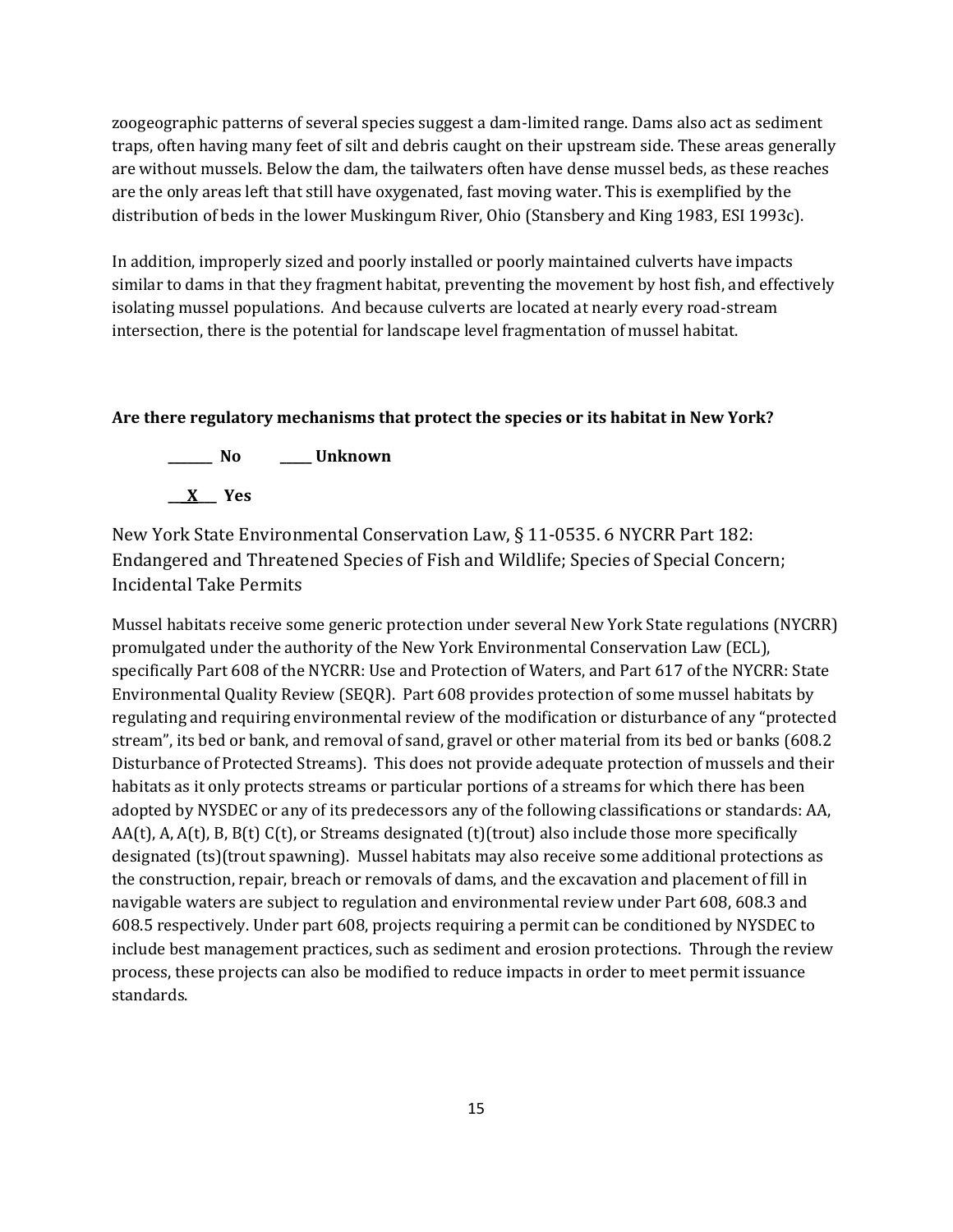zoogeographic patterns of several species suggest a dam-limited range. Dams also act as sediment traps, often having many feet of silt and debris caught on their upstream side. These areas generally are without mussels. Below the dam, the tailwaters often have dense mussel beds, as these reaches are the only areas left that still have oxygenated, fast moving water. This is exemplified by the distribution of beds in the lower Muskingum River, Ohio (Stansbery and King 1983, ESI 1993c).

In addition, improperly sized and poorly installed or poorly maintained culverts have impacts similar to dams in that they fragment habitat, preventing the movement by host fish, and effectively isolating mussel populations. And because culverts are located at nearly every road-stream intersection, there is the potential for landscape level fragmentation of mussel habitat.

#### **Are there regulatory mechanisms that protect the species or its habitat in New York?**



New York State Environmental Conservation Law, § 11-0535. 6 NYCRR Part 182: Endangered and Threatened Species of Fish and Wildlife; Species of Special Concern; Incidental Take Permits

Mussel habitats receive some generic protection under several New York State regulations (NYCRR) promulgated under the authority of the New York Environmental Conservation Law (ECL), specifically Part 608 of the NYCRR: Use and Protection of Waters, and Part 617 of the NYCRR: State Environmental Quality Review (SEQR). Part 608 provides protection of some mussel habitats by regulating and requiring environmental review of the modification or disturbance of any "protected stream", its bed or bank, and removal of sand, gravel or other material from its bed or banks (608.2 Disturbance of Protected Streams). This does not provide adequate protection of mussels and their habitats as it only protects streams or particular portions of a streams for which there has been adopted by NYSDEC or any of its predecessors any of the following classifications or standards: AA, AA(t), A, A(t), B, B(t) C(t), or Streams designated (t)(trout) also include those more specifically designated (ts)(trout spawning). Mussel habitats may also receive some additional protections as the construction, repair, breach or removals of dams, and the excavation and placement of fill in navigable waters are subject to regulation and environmental review under Part 608, 608.3 and 608.5 respectively. Under part 608, projects requiring a permit can be conditioned by NYSDEC to include best management practices, such as sediment and erosion protections. Through the review process, these projects can also be modified to reduce impacts in order to meet permit issuance standards.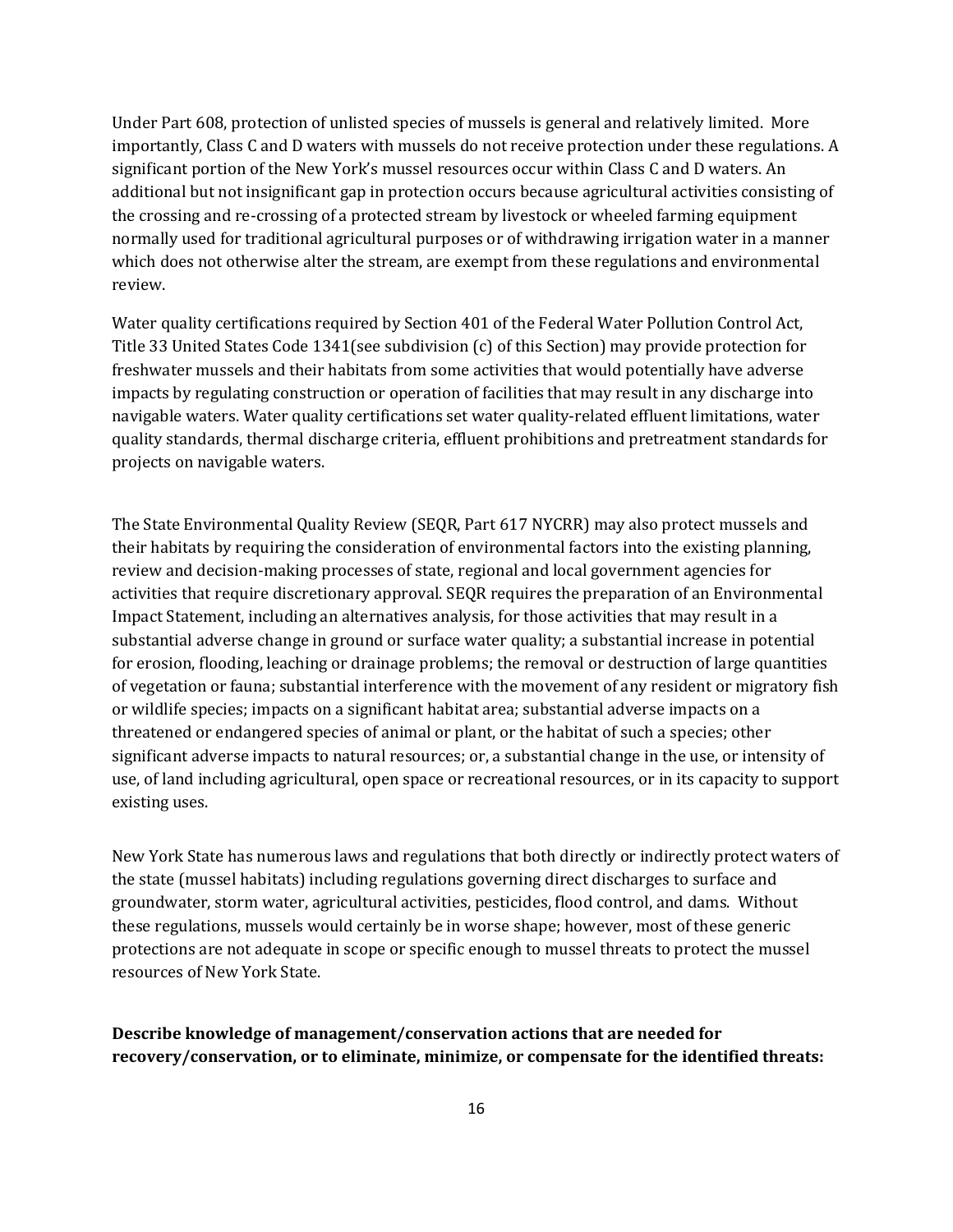Under Part 608, protection of unlisted species of mussels is general and relatively limited. More importantly, Class C and D waters with mussels do not receive protection under these regulations. A significant portion of the New York's mussel resources occur within Class C and D waters. An additional but not insignificant gap in protection occurs because agricultural activities consisting of the crossing and re-crossing of a protected stream by livestock or wheeled farming equipment normally used for traditional agricultural purposes or of withdrawing irrigation water in a manner which does not otherwise alter the stream, are exempt from these regulations and environmental review.

Water quality certifications required by Section 401 of the Federal Water Pollution Control Act, Title 33 United States Code 1341(see subdivision (c) of this Section) may provide protection for freshwater mussels and their habitats from some activities that would potentially have adverse impacts by regulating construction or operation of facilities that may result in any discharge into navigable waters. Water quality certifications set water quality-related effluent limitations, water quality standards, thermal discharge criteria, effluent prohibitions and pretreatment standards for projects on navigable waters.

The State Environmental Quality Review (SEQR, Part 617 NYCRR) may also protect mussels and their habitats by requiring the consideration of environmental factors into the existing planning, review and decision-making processes of state, regional and local government agencies for activities that require discretionary approval. SEQR requires the preparation of an Environmental Impact Statement, including an alternatives analysis, for those activities that may result in a substantial adverse change in ground or surface water quality; a substantial increase in potential for erosion, flooding, leaching or drainage problems; the removal or destruction of large quantities of vegetation or fauna; substantial interference with the movement of any resident or migratory fish or wildlife species; impacts on a significant habitat area; substantial adverse impacts on a threatened or endangered species of animal or plant, or the habitat of such a species; other significant adverse impacts to natural resources; or, a substantial change in the use, or intensity of use, of land including agricultural, open space or recreational resources, or in its capacity to support existing uses.

New York State has numerous laws and regulations that both directly or indirectly protect waters of the state (mussel habitats) including regulations governing direct discharges to surface and groundwater, storm water, agricultural activities, pesticides, flood control, and dams. Without these regulations, mussels would certainly be in worse shape; however, most of these generic protections are not adequate in scope or specific enough to mussel threats to protect the mussel resources of New York State.

**Describe knowledge of management/conservation actions that are needed for recovery/conservation, or to eliminate, minimize, or compensate for the identified threats:**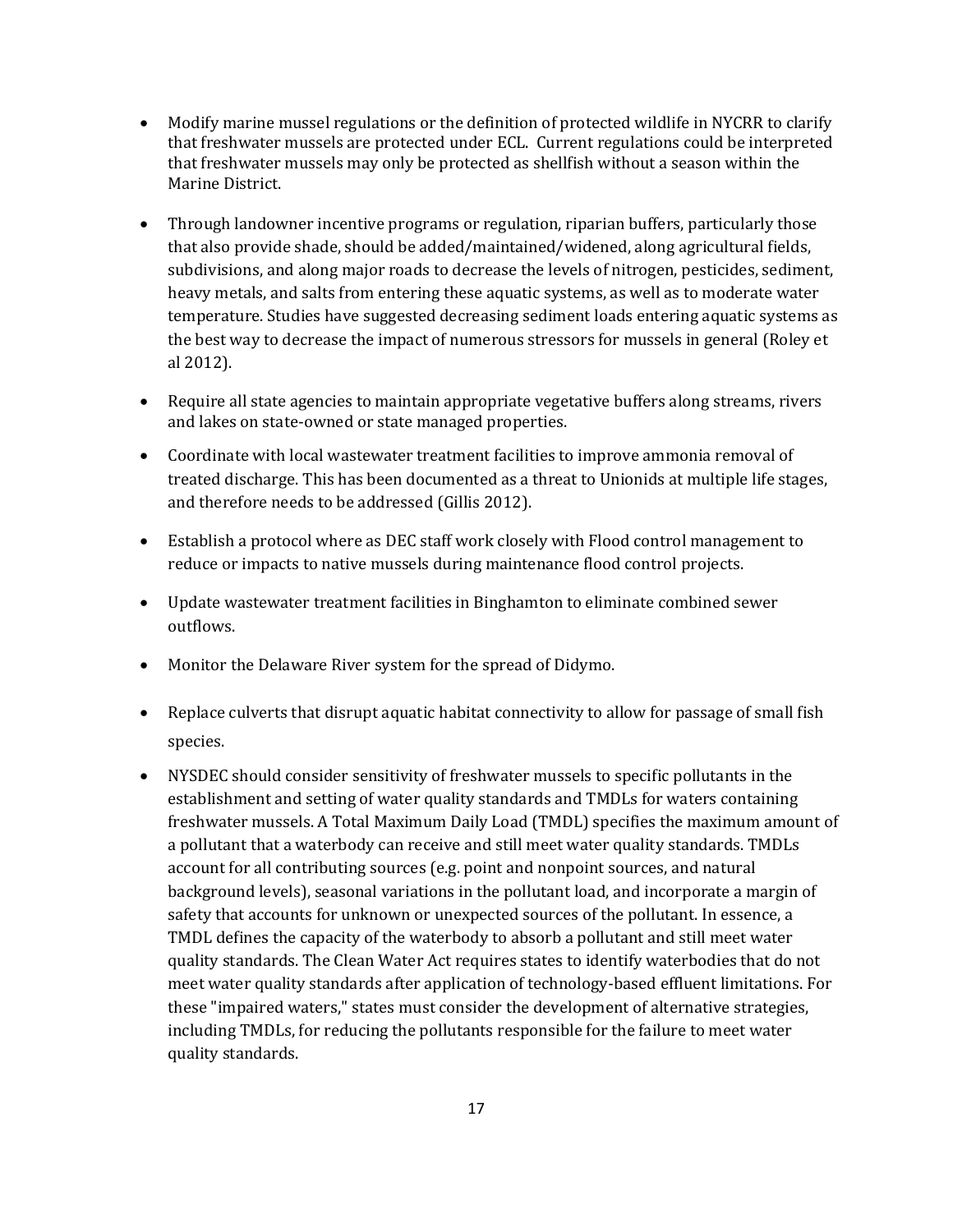- Modify marine mussel regulations or the definition of protected wildlife in NYCRR to clarify that freshwater mussels are protected under ECL. Current regulations could be interpreted that freshwater mussels may only be protected as shellfish without a season within the Marine District.
- Through landowner incentive programs or regulation, riparian buffers, particularly those that also provide shade, should be added/maintained/widened, along agricultural fields, subdivisions, and along major roads to decrease the levels of nitrogen, pesticides, sediment, heavy metals, and salts from entering these aquatic systems, as well as to moderate water temperature. Studies have suggested decreasing sediment loads entering aquatic systems as the best way to decrease the impact of numerous stressors for mussels in general (Roley et al 2012).
- Require all state agencies to maintain appropriate vegetative buffers along streams, rivers and lakes on state-owned or state managed properties.
- Coordinate with local wastewater treatment facilities to improve ammonia removal of treated discharge. This has been documented as a threat to Unionids at multiple life stages, and therefore needs to be addressed (Gillis 2012).
- Establish a protocol where as DEC staff work closely with Flood control management to reduce or impacts to native mussels during maintenance flood control projects.
- Update wastewater treatment facilities in Binghamton to eliminate combined sewer outflows.
- Monitor the Delaware River system for the spread of Didymo.
- Replace culverts that disrupt aquatic habitat connectivity to allow for passage of small fish species.
- NYSDEC should consider sensitivity of freshwater mussels to specific pollutants in the establishment and setting of water quality standards and TMDLs for waters containing freshwater mussels. A Total Maximum Daily Load (TMDL) specifies the maximum amount of a pollutant that a waterbody can receive and still meet water quality standards. TMDLs account for all contributing sources (e.g. point and nonpoint sources, and natural background levels), seasonal variations in the pollutant load, and incorporate a margin of safety that accounts for unknown or unexpected sources of the pollutant. In essence, a TMDL defines the capacity of the waterbody to absorb a pollutant and still meet water quality standards. The Clean Water Act requires states to identify waterbodies that do not meet water quality standards after application of technology-based effluent limitations. For these "impaired waters," states must consider the development of alternative strategies, including TMDLs, for reducing the pollutants responsible for the failure to meet water quality standards.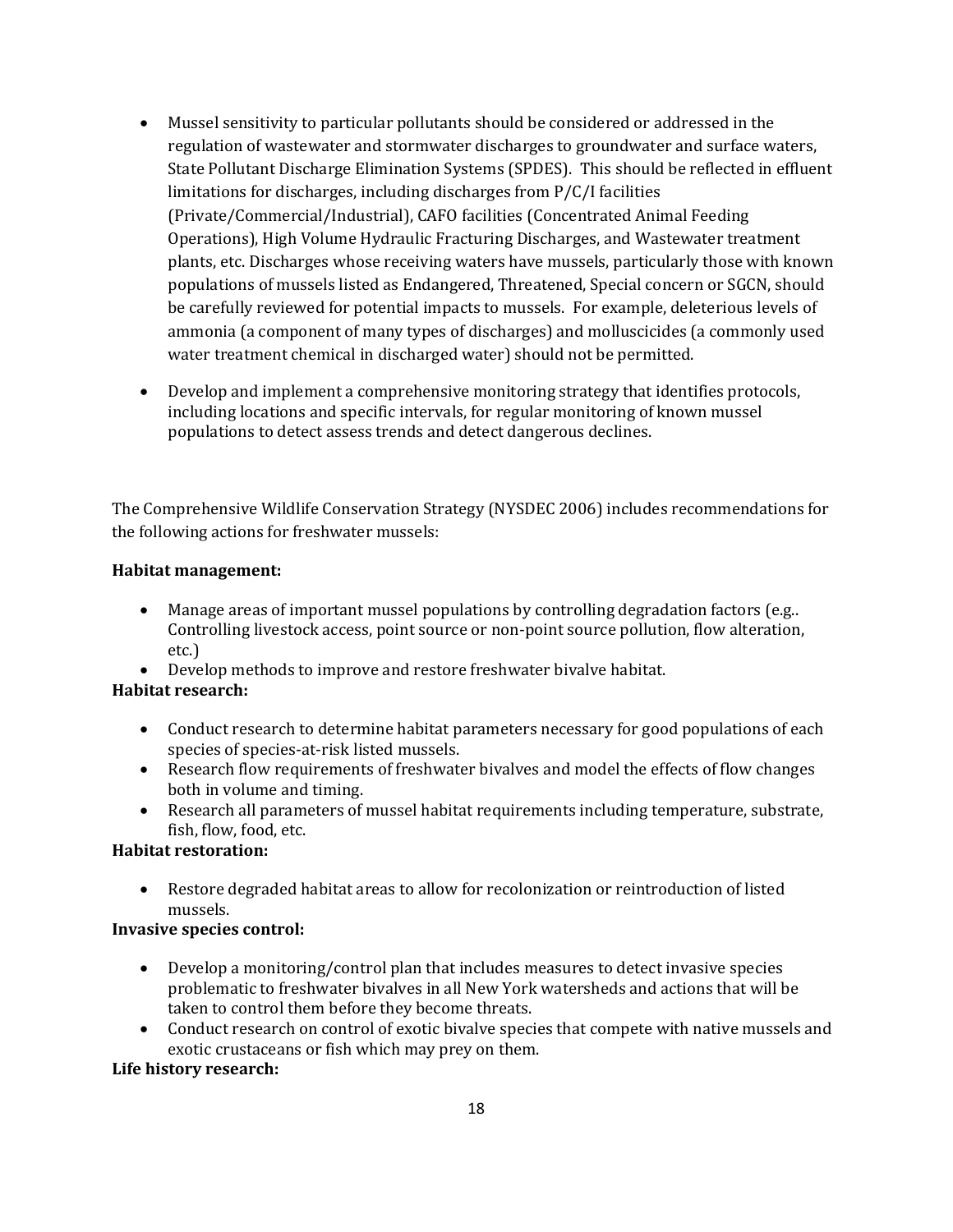- Mussel sensitivity to particular pollutants should be considered or addressed in the regulation of wastewater and stormwater discharges to groundwater and surface waters, State Pollutant Discharge Elimination Systems (SPDES). This should be reflected in effluent limitations for discharges, including discharges from P/C/I facilities (Private/Commercial/Industrial), CAFO facilities (Concentrated Animal Feeding Operations), High Volume Hydraulic Fracturing Discharges, and Wastewater treatment plants, etc. Discharges whose receiving waters have mussels, particularly those with known populations of mussels listed as Endangered, Threatened, Special concern or SGCN, should be carefully reviewed for potential impacts to mussels. For example, deleterious levels of ammonia (a component of many types of discharges) and molluscicides (a commonly used water treatment chemical in discharged water) should not be permitted.
- Develop and implement a comprehensive monitoring strategy that identifies protocols, including locations and specific intervals, for regular monitoring of known mussel populations to detect assess trends and detect dangerous declines.

The Comprehensive Wildlife Conservation Strategy (NYSDEC 2006) includes recommendations for the following actions for freshwater mussels:

## **Habitat management:**

- Manage areas of important mussel populations by controlling degradation factors (e.g.. Controlling livestock access, point source or non-point source pollution, flow alteration, etc.)
- Develop methods to improve and restore freshwater bivalve habitat.

# **Habitat research:**

- Conduct research to determine habitat parameters necessary for good populations of each species of species-at-risk listed mussels.
- Research flow requirements of freshwater bivalves and model the effects of flow changes both in volume and timing.
- Research all parameters of mussel habitat requirements including temperature, substrate, fish, flow, food, etc.

# **Habitat restoration:**

• Restore degraded habitat areas to allow for recolonization or reintroduction of listed mussels.

# **Invasive species control:**

- Develop a monitoring/control plan that includes measures to detect invasive species problematic to freshwater bivalves in all New York watersheds and actions that will be taken to control them before they become threats.
- Conduct research on control of exotic bivalve species that compete with native mussels and exotic crustaceans or fish which may prey on them.

# **Life history research:**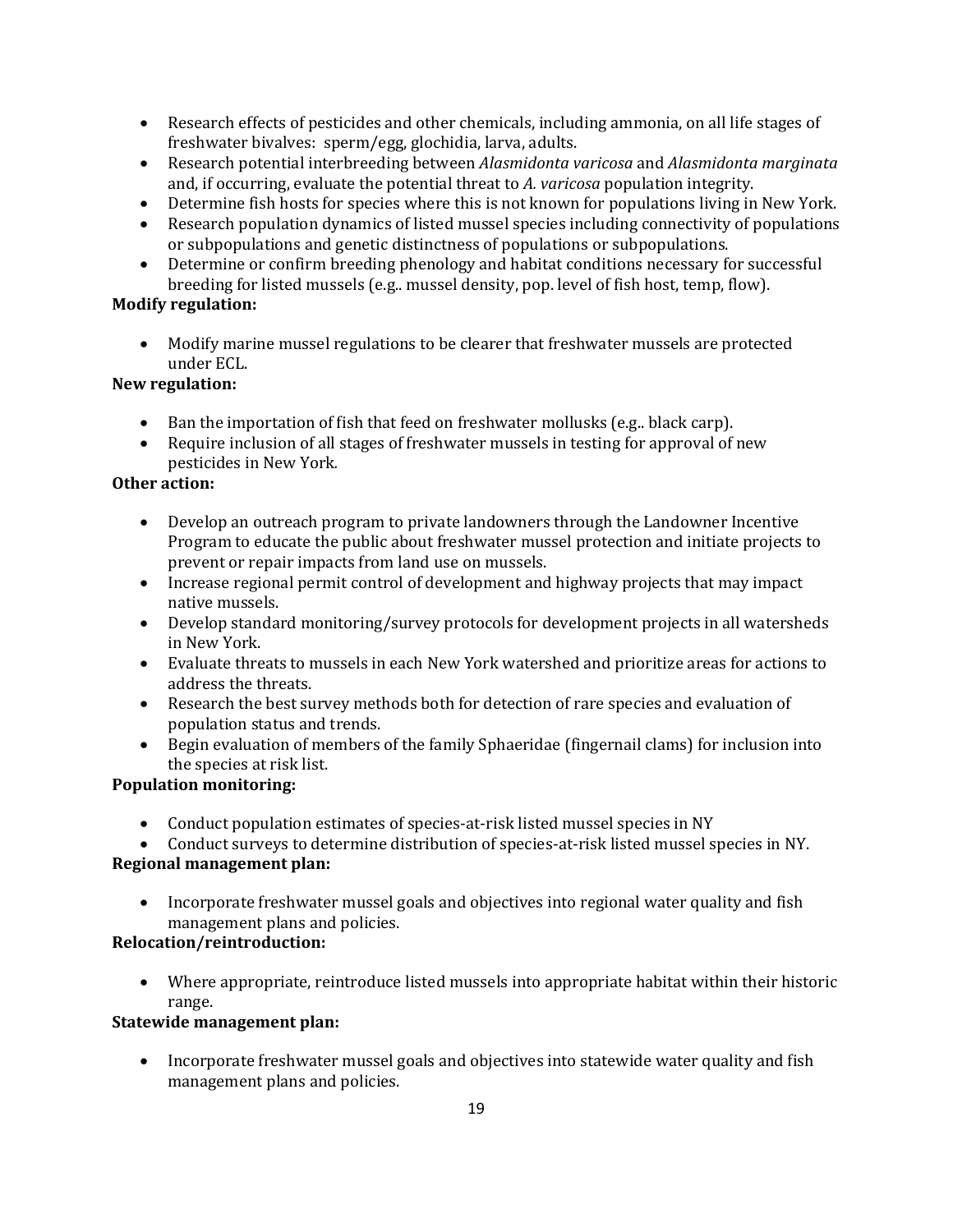- Research effects of pesticides and other chemicals, including ammonia, on all life stages of freshwater bivalves: sperm/egg, glochidia, larva, adults.
- Research potential interbreeding between *Alasmidonta varicosa* and *Alasmidonta marginata* and, if occurring, evaluate the potential threat to *A. varicosa* population integrity.
- Determine fish hosts for species where this is not known for populations living in New York.
- Research population dynamics of listed mussel species including connectivity of populations or subpopulations and genetic distinctness of populations or subpopulations.
- Determine or confirm breeding phenology and habitat conditions necessary for successful breeding for listed mussels (e.g.. mussel density, pop. level of fish host, temp, flow).

# **Modify regulation:**

• Modify marine mussel regulations to be clearer that freshwater mussels are protected under ECL.

# **New regulation:**

- Ban the importation of fish that feed on freshwater mollusks (e.g., black carp).
- Require inclusion of all stages of freshwater mussels in testing for approval of new pesticides in New York*.*

# **Other action:**

- Develop an outreach program to private landowners through the Landowner Incentive Program to educate the public about freshwater mussel protection and initiate projects to prevent or repair impacts from land use on mussels.
- Increase regional permit control of development and highway projects that may impact native mussels.
- Develop standard monitoring/survey protocols for development projects in all watersheds in New York.
- Evaluate threats to mussels in each New York watershed and prioritize areas for actions to address the threats.
- Research the best survey methods both for detection of rare species and evaluation of population status and trends.
- Begin evaluation of members of the family Sphaeridae (fingernail clams) for inclusion into the species at risk list.

# **Population monitoring:**

- Conduct population estimates of species-at-risk listed mussel species in NY
- Conduct surveys to determine distribution of species-at-risk listed mussel species in NY.

# **Regional management plan:**

• Incorporate freshwater mussel goals and objectives into regional water quality and fish management plans and policies.

# **Relocation/reintroduction:**

• Where appropriate, reintroduce listed mussels into appropriate habitat within their historic range.

# **Statewide management plan:**

• Incorporate freshwater mussel goals and objectives into statewide water quality and fish management plans and policies.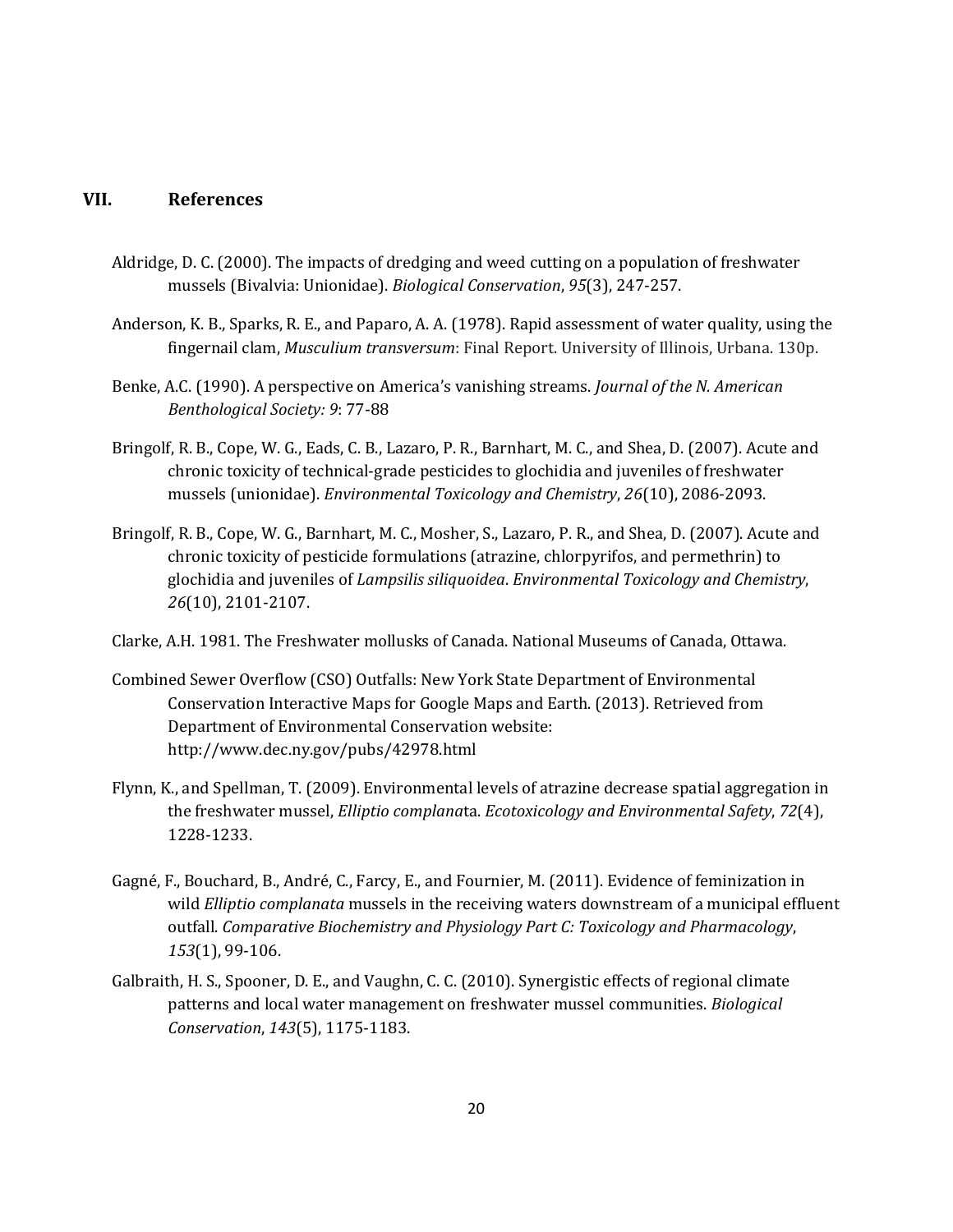# **VII. References**

- Aldridge, D. C. (2000). The impacts of dredging and weed cutting on a population of freshwater mussels (Bivalvia: Unionidae). *Biological Conservation*, *95*(3), 247-257.
- Anderson, K. B., Sparks, R. E., and Paparo, A. A. (1978). Rapid assessment of water quality, using the fingernail clam, *Musculium transversum*: Final Report. University of Illinois, Urbana. 130p.
- Benke, A.C. (1990). A perspective on America's vanishing streams. *Journal of the N. American Benthological Society: 9*: 77-88
- Bringolf, R. B., Cope, W. G., Eads, C. B., Lazaro, P. R., Barnhart, M. C., and Shea, D. (2007). Acute and chronic toxicity of technical‐grade pesticides to glochidia and juveniles of freshwater mussels (unionidae). *Environmental Toxicology and Chemistry*, *26*(10), 2086-2093.
- Bringolf, R. B., Cope, W. G., Barnhart, M. C., Mosher, S., Lazaro, P. R., and Shea, D. (2007). Acute and chronic toxicity of pesticide formulations (atrazine, chlorpyrifos, and permethrin) to glochidia and juveniles of *Lampsilis siliquoidea*. *Environmental Toxicology and Chemistry*, *26*(10), 2101-2107.
- Clarke, A.H. 1981. The Freshwater mollusks of Canada. National Museums of Canada, Ottawa.
- Combined Sewer Overflow (CSO) Outfalls: New York State Department of Environmental Conservation Interactive Maps for Google Maps and Earth. (2013). Retrieved from Department of Environmental Conservation website: <http://www.dec.ny.gov/pubs/42978.html>
- Flynn, K., and Spellman, T. (2009). Environmental levels of atrazine decrease spatial aggregation in the freshwater mussel, *Elliptio complana*ta. *Ecotoxicology and Environmental Safety*, *72*(4), 1228-1233.
- Gagné, F., Bouchard, B., André, C., Farcy, E., and Fournier, M. (2011). Evidence of feminization in wild *Elliptio complanata* mussels in the receiving waters downstream of a municipal effluent outfall. *Comparative Biochemistry and Physiology Part C: Toxicology and Pharmacology*, *153*(1), 99-106.
- Galbraith, H. S., Spooner, D. E., and Vaughn, C. C. (2010). Synergistic effects of regional climate patterns and local water management on freshwater mussel communities. *Biological Conservation*, *143*(5), 1175-1183.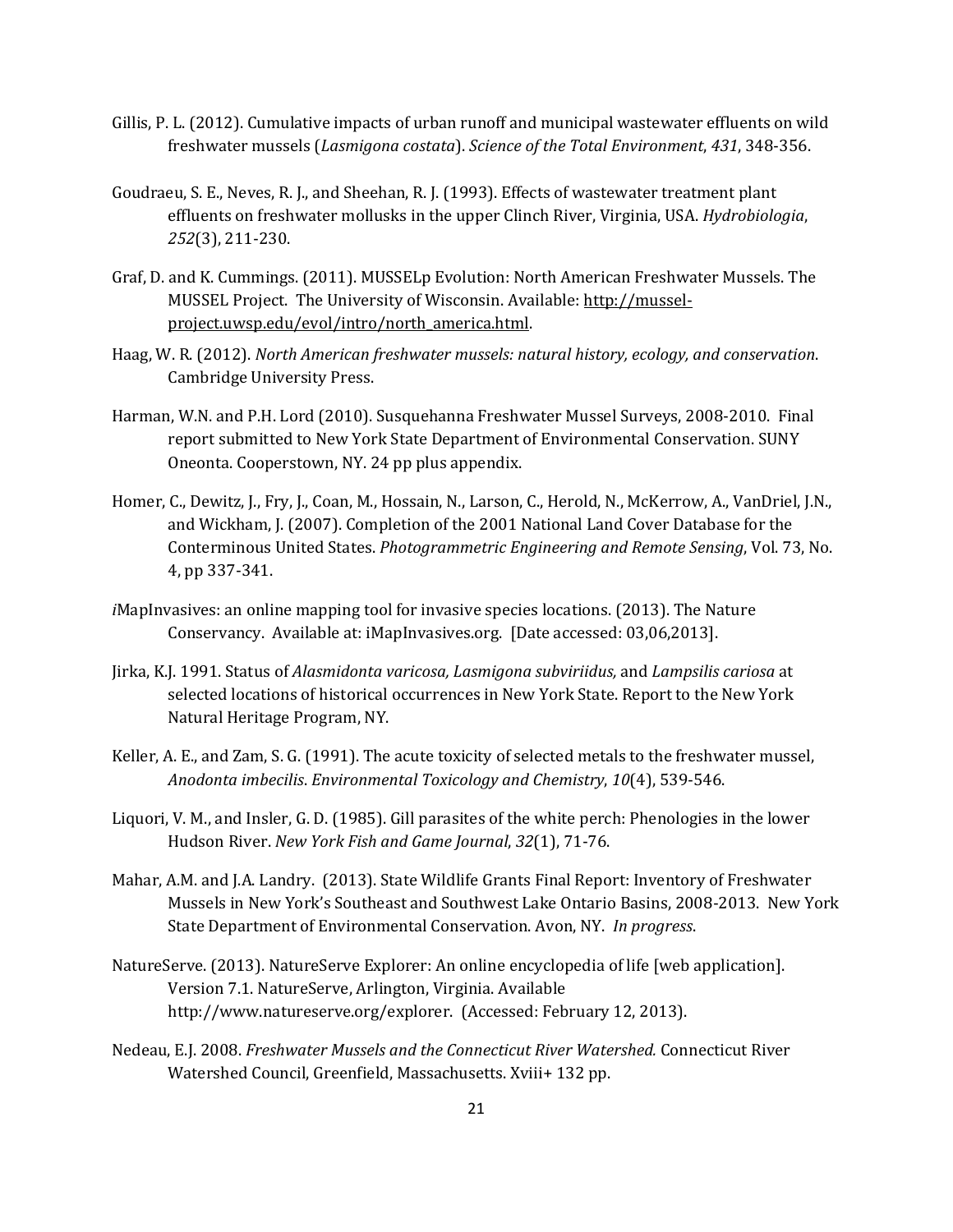- Gillis, P. L. (2012). Cumulative impacts of urban runoff and municipal wastewater effluents on wild freshwater mussels (*Lasmigona costata*). *Science of the Total Environment*, *431*, 348-356.
- Goudraeu, S. E., Neves, R. J., and Sheehan, R. J. (1993). Effects of wastewater treatment plant effluents on freshwater mollusks in the upper Clinch River, Virginia, USA. *Hydrobiologia*, *252*(3), 211-230.
- Graf, D. and K. Cummings. (2011). MUSSELp Evolution: North American Freshwater Mussels. The MUSSEL Project. The University of Wisconsin. Available: [http://mussel](http://mussel-project.uwsp.edu/evol/intro/north_america.html)[project.uwsp.edu/evol/intro/north\\_america.html.](http://mussel-project.uwsp.edu/evol/intro/north_america.html)
- Haag, W. R. (2012). *North American freshwater mussels: natural history, ecology, and conservation*. Cambridge University Press.
- Harman, W.N. and P.H. Lord (2010). Susquehanna Freshwater Mussel Surveys, 2008-2010. Final report submitted to New York State Department of Environmental Conservation. SUNY Oneonta. Cooperstown, NY. 24 pp plus appendix.
- Homer, C., Dewitz, J., Fry, J., Coan, M., Hossain, N., Larson, C., Herold, N., McKerrow, A., VanDriel, J.N., and Wickham, J. (2007). Completion of the 2001 National Land Cover Database for the Conterminous United States. *Photogrammetric Engineering and Remote Sensing*, Vol. 73, No. 4, pp 337-341.
- *i*MapInvasives: an online mapping tool for invasive species locations. (2013). The Nature Conservancy. Available at: iMapInvasives.org. [Date accessed: 03,06,2013].
- Jirka, K.J. 1991. Status of *Alasmidonta varicosa, Lasmigona subviriidus,* and *Lampsilis cariosa* at selected locations of historical occurrences in New York State. Report to the New York Natural Heritage Program, NY.
- Keller, A. E., and Zam, S. G. (1991). The acute toxicity of selected metals to the freshwater mussel, *Anodonta imbecilis*. *Environmental Toxicology and Chemistry*, *10*(4), 539-546.
- Liquori, V. M., and Insler, G. D. (1985). Gill parasites of the white perch: Phenologies in the lower Hudson River. *New York Fish and Game Journal*, *32*(1), 71-76.
- Mahar, A.M. and J.A. Landry. (2013). State Wildlife Grants Final Report: Inventory of Freshwater Mussels in New York's Southeast and Southwest Lake Ontario Basins, 2008-2013. New York State Department of Environmental Conservation. Avon, NY. *In progress*.
- NatureServe. (2013). NatureServe Explorer: An online encyclopedia of life [web application]. Version 7.1. NatureServe, Arlington, Virginia. Available http://www.natureserve.org/explorer. (Accessed: February 12, 2013).
- Nedeau, E.J. 2008. *Freshwater Mussels and the Connecticut River Watershed.* Connecticut River Watershed Council, Greenfield, Massachusetts. Xviii+ 132 pp.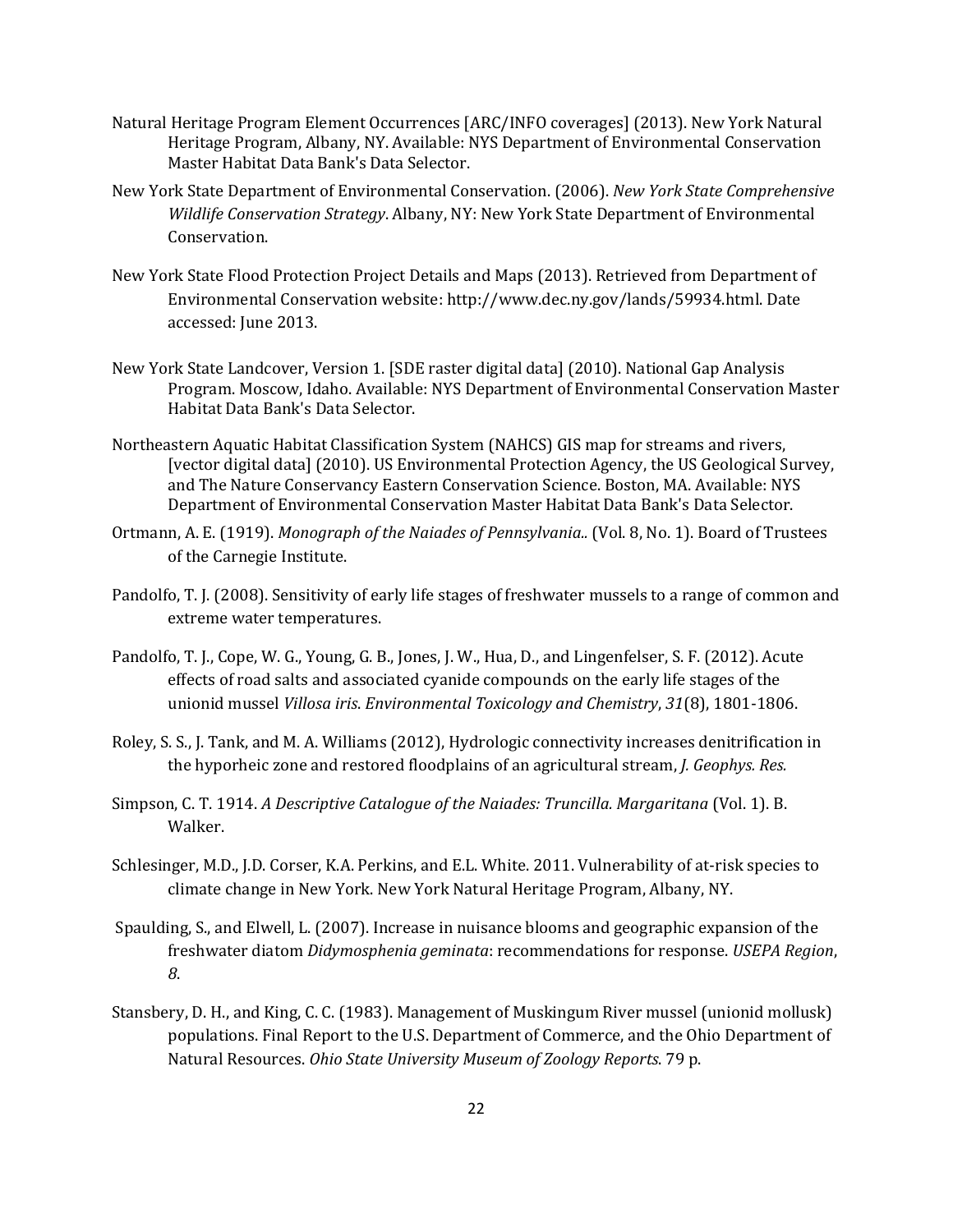- Natural Heritage Program Element Occurrences [ARC/INFO coverages] (2013). New York Natural Heritage Program, Albany, NY. Available: NYS Department of Environmental Conservation Master Habitat Data Bank's Data Selector.
- New York State Department of Environmental Conservation. (2006). *New York State Comprehensive Wildlife Conservation Strategy*. Albany, NY: New York State Department of Environmental Conservation.
- New York State Flood Protection Project Details and Maps (2013). Retrieved from Department of Environmental Conservation website: http://www.dec.ny.gov/lands/59934.html. Date accessed: June 2013.
- New York State Landcover, Version 1. [SDE raster digital data] (2010). National Gap Analysis Program. Moscow, Idaho. Available: NYS Department of Environmental Conservation Master Habitat Data Bank's Data Selector.
- Northeastern Aquatic Habitat Classification System (NAHCS) GIS map for streams and rivers, [vector digital data] (2010). US Environmental Protection Agency, the US Geological Survey, and The Nature Conservancy Eastern Conservation Science. Boston, MA. Available: NYS Department of Environmental Conservation Master Habitat Data Bank's Data Selector.
- Ortmann, A. E. (1919). *Monograph of the Naiades of Pennsylvania..* (Vol. 8, No. 1). Board of Trustees of the Carnegie Institute.
- Pandolfo, T. J. (2008). Sensitivity of early life stages of freshwater mussels to a range of common and extreme water temperatures.
- Pandolfo, T. J., Cope, W. G., Young, G. B., Jones, J. W., Hua, D., and Lingenfelser, S. F. (2012). Acute effects of road salts and associated cyanide compounds on the early life stages of the unionid mussel *Villosa iris*. *Environmental Toxicology and Chemistry*, *31*(8), 1801-1806.
- Roley, S. S., J. Tank, and M. A. Williams (2012), Hydrologic connectivity increases denitrification in the hyporheic zone and restored floodplains of an agricultural stream, *J. Geophys. Res.*
- Simpson, C. T. 1914. *A Descriptive Catalogue of the Naiades: Truncilla. Margaritana* (Vol. 1). B. Walker.
- Schlesinger, M.D., J.D. Corser, K.A. Perkins, and E.L. White. 2011. Vulnerability of at-risk species to climate change in New York. New York Natural Heritage Program, Albany, NY.
- Spaulding, S., and Elwell, L. (2007). Increase in nuisance blooms and geographic expansion of the freshwater diatom *Didymosphenia geminata*: recommendations for response. *USEPA Region*, *8*.
- Stansbery, D. H., and King, C. C. (1983). Management of Muskingum River mussel (unionid mollusk) populations. Final Report to the U.S. Department of Commerce, and the Ohio Department of Natural Resources. *Ohio State University Museum of Zoology Reports*. 79 p.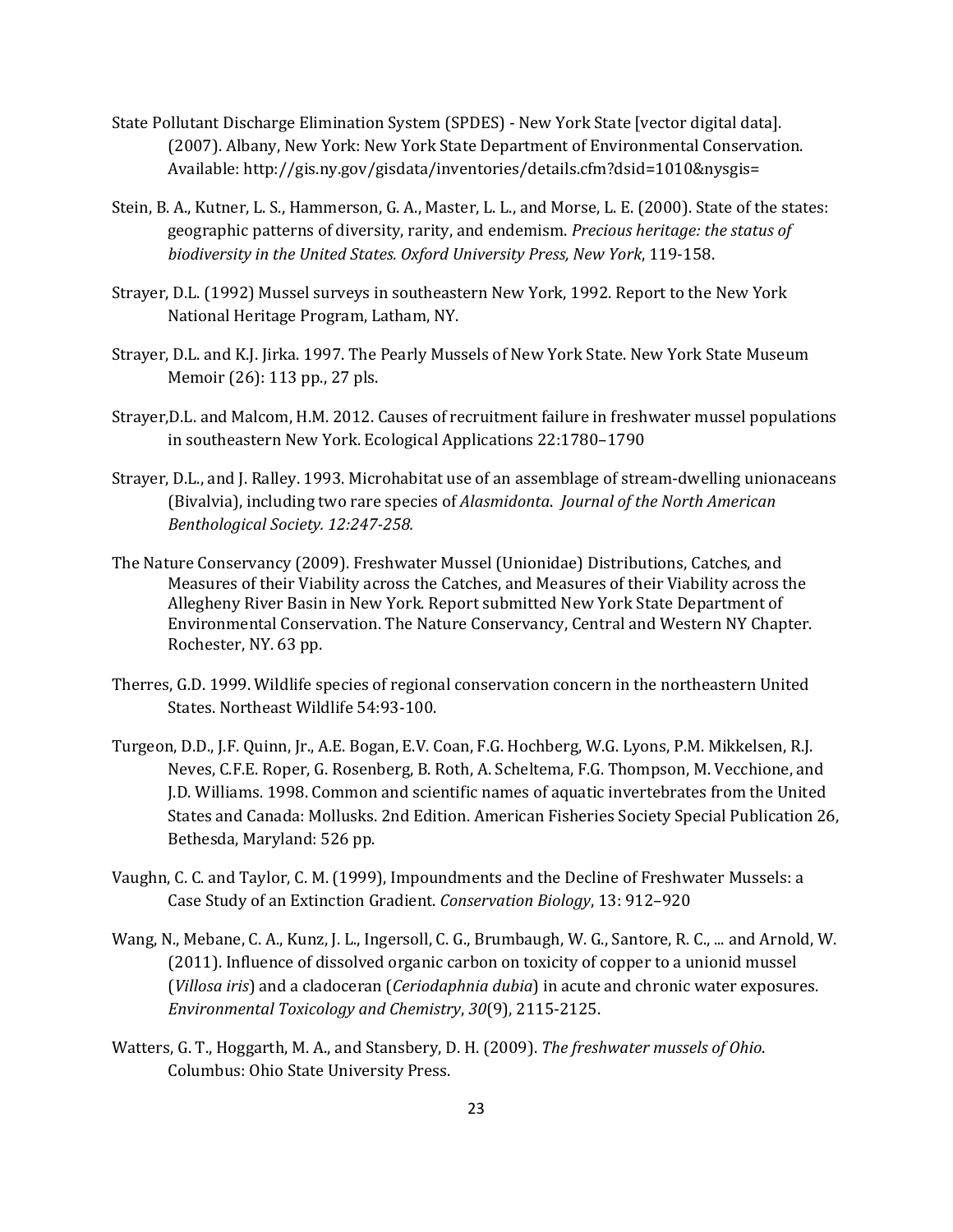- State Pollutant Discharge Elimination System (SPDES) New York State [vector digital data]. (2007). Albany, New York: New York State Department of Environmental Conservation. Available: http://gis.ny.gov/gisdata/inventories/details.cfm?dsid=1010&nysgis=
- Stein, B. A., Kutner, L. S., Hammerson, G. A., Master, L. L., and Morse, L. E. (2000). State of the states: geographic patterns of diversity, rarity, and endemism. *Precious heritage: the status of biodiversity in the United States. Oxford University Press, New York*, 119-158.
- Strayer, D.L. (1992) Mussel surveys in southeastern New York, 1992. Report to the New York National Heritage Program, Latham, NY.
- Strayer, D.L. and K.J. Jirka. 1997. The Pearly Mussels of New York State. New York State Museum Memoir (26): 113 pp., 27 pls.
- Strayer,D.L. and Malcom, H.M. 2012. Causes of recruitment failure in freshwater mussel populations in southeastern New York. Ecological Applications 22:1780–1790
- Strayer, D.L., and J. Ralley. 1993. Microhabitat use of an assemblage of stream-dwelling unionaceans (Bivalvia), including two rare species of *Alasmidonta*. *Journal of the North American Benthological Society. 12:247-258.*
- The Nature Conservancy (2009). Freshwater Mussel (Unionidae) Distributions, Catches, and Measures of their Viability across the Catches, and Measures of their Viability across the Allegheny River Basin in New York. Report submitted New York State Department of Environmental Conservation. The Nature Conservancy, Central and Western NY Chapter. Rochester, NY. 63 pp.
- Therres, G.D. 1999. Wildlife species of regional conservation concern in the northeastern United States. Northeast Wildlife 54:93-100.
- Turgeon, D.D., J.F. Quinn, Jr., A.E. Bogan, E.V. Coan, F.G. Hochberg, W.G. Lyons, P.M. Mikkelsen, R.J. Neves, C.F.E. Roper, G. Rosenberg, B. Roth, A. Scheltema, F.G. Thompson, M. Vecchione, and J.D. Williams. 1998. Common and scientific names of aquatic invertebrates from the United States and Canada: Mollusks. 2nd Edition. American Fisheries Society Special Publication 26, Bethesda, Maryland: 526 pp.
- Vaughn, C. C. and Taylor, C. M. (1999), Impoundments and the Decline of Freshwater Mussels: a Case Study of an Extinction Gradient. *Conservation Biology*, 13: 912–920
- Wang, N., Mebane, C. A., Kunz, J. L., Ingersoll, C. G., Brumbaugh, W. G., Santore, R. C., ... and Arnold, W. (2011). Influence of dissolved organic carbon on toxicity of copper to a unionid mussel (*Villosa iris*) and a cladoceran (*Ceriodaphnia dubia*) in acute and chronic water exposures. *Environmental Toxicology and Chemistry*, *30*(9), 2115-2125.
- Watters, G. T., Hoggarth, M. A., and Stansbery, D. H. (2009). *The freshwater mussels of Ohio*. Columbus: Ohio State University Press.